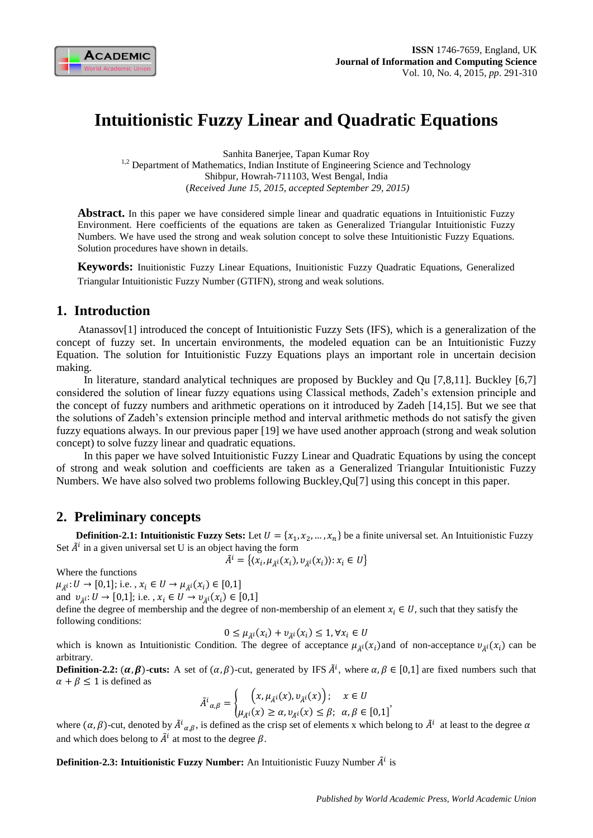

# **Intuitionistic Fuzzy Linear and Quadratic Equations**

Sanhita Banerjee, Tapan Kumar Roy <sup>1,2</sup> Department of Mathematics, Indian Institute of Engineering Science and Technology Shibpur, Howrah-711103, West Bengal, India (*Received June 15, 2015, accepted September 29, 2015)*

**Abstract.** In this paper we have considered simple linear and quadratic equations in Intuitionistic Fuzzy Environment. Here coefficients of the equations are taken as Generalized Triangular Intuitionistic Fuzzy Numbers. We have used the strong and weak solution concept to solve these Intuitionistic Fuzzy Equations. Solution procedures have shown in details.

**Keywords:** Inuitionistic Fuzzy Linear Equations, Inuitionistic Fuzzy Quadratic Equations, Generalized Triangular Intuitionistic Fuzzy Number (GTIFN), strong and weak solutions.

# **1. Introduction**

Atanassov[1] introduced the concept of Intuitionistic Fuzzy Sets (IFS), which is a generalization of the concept of fuzzy set. In uncertain environments, the modeled equation can be an Intuitionistic Fuzzy Equation. The solution for Intuitionistic Fuzzy Equations plays an important role in uncertain decision making.

 In literature, standard analytical techniques are proposed by Buckley and Qu [7,8,11]. Buckley [6,7] considered the solution of linear fuzzy equations using Classical methods, Zadeh's extension principle and the concept of fuzzy numbers and arithmetic operations on it introduced by Zadeh [14,15]. But we see that the solutions of Zadeh's extension principle method and interval arithmetic methods do not satisfy the given fuzzy equations always. In our previous paper [19] we have used another approach (strong and weak solution concept) to solve fuzzy linear and quadratic equations.

 In this paper we have solved Intuitionistic Fuzzy Linear and Quadratic Equations by using the concept of strong and weak solution and coefficients are taken as a Generalized Triangular Intuitionistic Fuzzy Numbers. We have also solved two problems following Buckley,Qu[7] using this concept in this paper.

# **2. Preliminary concepts**

**Definition-2.1: Intuitionistic Fuzzy Sets:** Let  $U = \{x_1, x_2, ..., x_n\}$  be a finite universal set. An Intuitionistic Fuzzy Set  $\tilde{A}^i$  in a given universal set U is an object having the form

$$
\tilde{A}^i = \{ (x_i, \mu_{\tilde{A}^i}(x_i), \nu_{\tilde{A}^i}(x_i)) : x_i \in U \}
$$

Where the functions

 $\mu_{\tilde{A}^i}: U \to [0,1];$  i.e.,  $x_i \in U \to \mu_{\tilde{A}^i}(x_i) \in [0,1]$ 

and  $v_{\tilde{A}}: U \to [0,1]$ ; i.e.,  $x_i \in U \to v_{\tilde{A}}(x_i) \in [0,1]$ 

define the degree of membership and the degree of non-membership of an element  $x_i \in U$ , such that they satisfy the following conditions:

$$
0 \le \mu_{\tilde{A}^i}(x_i) + v_{\tilde{A}^i}(x_i) \le 1, \forall x_i \in U
$$

which is known as Intuitionistic Condition. The degree of acceptance  $\mu_{\tilde{A}^i}(x_i)$  and of non-acceptance  $v_{\tilde{A}^i}(x_i)$  can be arbitrary.

**Definition-2.2:**  $(\alpha, \beta)$ -cuts: A set of  $(\alpha, \beta)$ -cut, generated by IFS  $\tilde{A}^i$ , where  $\alpha, \beta \in [0,1]$  are fixed numbers such that  $\alpha + \beta \leq 1$  is defined as

$$
\tilde{A}^{i}{}_{\alpha,\beta} = \begin{cases} \left(x, \mu_{\tilde{A}^{i}}(x), \nu_{\tilde{A}^{i}}(x)\right); & x \in U \\ \mu_{\tilde{A}^{i}}(x) \ge \alpha, \nu_{\tilde{A}^{i}}(x) \le \beta; & \alpha, \beta \in [0,1] \end{cases}
$$

where  $(\alpha, \beta)$ -cut, denoted by  $\tilde{A}^i{}_{\alpha,\beta}$ , is defined as the crisp set of elements x which belong to  $\tilde{A}^i$  at least to the degree and which does belong to  $\tilde{A}^i$  at most to the degree  $\beta$ .

**Definition-2.3: Intuitionistic Fuzzy Number:** An Intuitionistic Fuuzy Number  $\tilde{A}^i$  is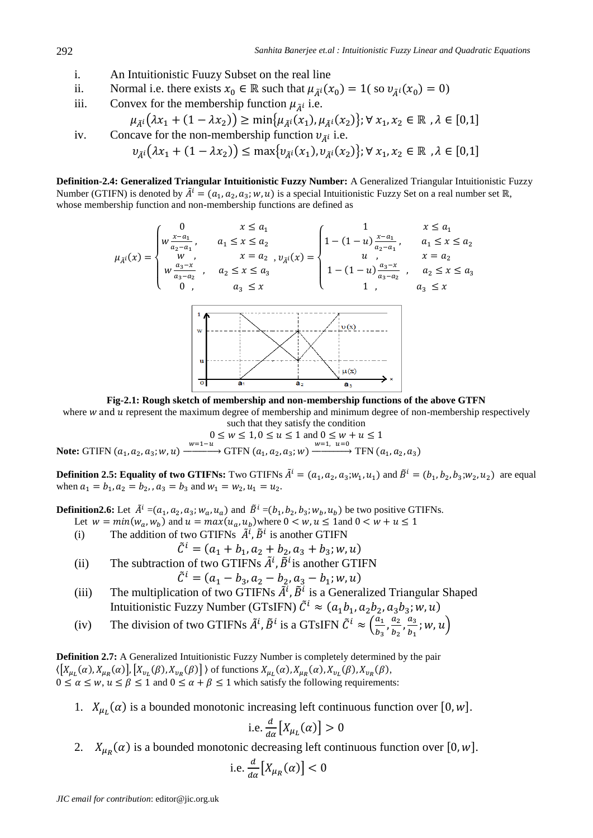- i. An Intuitionistic Fuuzy Subset on the real line
- ii. Normal i.e. there exists  $x_0 \in \mathbb{R}$  such that  $\mu_{\tilde{A}^i}(x_0) = 1$  (so  $\nu_{\tilde{A}^i}(x_0) = 0$ )
- iii. Convex for the membership function  $\mu_{\tilde{A}^i}$  i.e.

$$
\mu_{\tilde{A}^i}(\lambda x_1 + (1 - \lambda x_2)) \ge \min\{\mu_{\tilde{A}^i}(x_1), \mu_{\tilde{A}^i}(x_2)\}; \forall x_1, x_2 \in \mathbb{R}, \lambda \in [0,1]
$$
  
iv. Concave for the non-membreship function  $v_{\tilde{A}^i}$  i.e.  

$$
v_{\tilde{A}^i}(\lambda x_1 + (1 - \lambda x_2)) \le \max\{v_{\tilde{A}^i}(x_1), v_{\tilde{A}^i}(x_2)\}; \forall x_1, x_2 \in \mathbb{R}, \lambda \in [0,1]
$$

**Definition-2.4: Generalized Triangular Intuitionistic Fuzzy Number:** A Generalized Triangular Intuitionistic Fuzzy Number (GTIFN) is denoted by  $\tilde{A}^i = (a_1, a_2, a_3; w, u)$  is a special Intuitionistic Fuzzy Set on a real number set  $\mathbb{R}$ , whose membership function and non-membership functions are defined as



**Fig-2.1: Rough sketch of membership and non-membership functions of the above GTFN**

where  $w$  and  $u$  represent the maximum degree of membership and minimum degree of non-membership respectively such that they satisfy the condition

$$
0 \le w \le 1, 0 \le u \le 1 \text{ and } 0 \le w + u \le 1
$$
  

$$
w=1-u
$$
 
$$
\text{CFEN} (g, g, g, u) = \sum_{w=1}^{w=1} u=0 \text{CFN} (g, g)
$$

**Note:** GTIFN  $(a_1, a_2, a_3; w, u) \xrightarrow{w=1-u}$  GTFN  $(a_1, a_2, a_3; w) \xrightarrow{w=1, u=0}$  TFN  $(a_1, a_2, a_3)$ 

**Definition 2.5: Equality of two GTIFNs:** Two GTIFNs  $\tilde{A}^i = (a_1, a_2, a_3; w_1, u_1)$  and  $\tilde{B}^i = (b_1, b_2, b_3; w_2, u_2)$  are equal when  $a_1 = b_1$ ,  $a_2 = b_2$ , ,  $a_3 = b_3$  and  $w_1 = w_2$ ,  $u_1 = u_2$ .

**Definition2.6:** Let  $\tilde{A}^i = (a_1, a_2, a_3; w_a, u_a)$  and  $\tilde{B}^i = (b_1, b_2, b_3; w_b, u_b)$  be two positive GTIFNs.

- Let  $w = min(w_a, w_b)$  and  $u = max(u_a, u_b)$  where  $0 < w, u \le 1$  and
- (i) The addition of two GTIFNs  $\tilde{A}^i$ ,  $\tilde{B}^i$  is another GTIFN

$$
\tilde{C}^i = (a_1 + b_1, a_2 + b_2, a_3 + b_3; w, u)
$$

(ii) The subtraction of two GTIFNs  $\tilde{A}^i$ ,  $\tilde{B}^i$  is another GTIFN

$$
\tilde{C}^i = (a_1 - b_3, a_2 - b_2, a_3 - b_1; w, u)
$$

- (iii) The multiplication of two GTIFNs  $\tilde{A}^i$ ,  $\tilde{B}^i$  is a Generalized Triangular Shaped Intuitionistic Fuzzy Number (GTsIFN)  $\tilde{C}^i \approx (a_1b_1, a_2b_2, a_3b_3; w, u)$
- (iv) The division of two GTIFNs  $\tilde{A}^i$ ,  $\tilde{B}^i$  is a GTsIFN  $\tilde{C}^i \approx \left(\frac{a}{b}\right)$  $\frac{a_1}{b_3}$ ,  $\frac{a}{b}$  $\frac{a_2}{b_2}$ ,  $\frac{a}{b}$  $\frac{u_3}{b_1}$ ; w,  $u\big)$

**Definition 2.7:** A Generalized Intuitionistic Fuzzy Number is completely determined by the pair  $\langle [X_{\mu}(\alpha), X_{\mu\nu}(\alpha)], [X_{\nu}(\beta), X_{\nu\nu}(\beta)] \rangle$  of functions  $X_{\mu\nu}(\alpha), X_{\mu\nu}(\alpha), X_{\nu\nu}(\beta), X_{\nu\nu}(\beta)$ ,  $0 \le \alpha \le w, u \le \beta \le 1$  and  $0 \le \alpha + \beta \le 1$  which satisfy the following requirements:

1.  $X_{\mu}(\alpha)$  is a bounded monotonic increasing left continuous function over [0, w].

i.e. 
$$
\frac{d}{d\alpha} [X_{\mu_L}(\alpha)] > 0
$$

2.  $X_{\mu}(\alpha)$  is a bounded monotonic decreasing left continuous function over [0, w].

i.e. 
$$
\frac{d}{d\alpha}\big[X_{\mu_R}(\alpha)\big] < 0
$$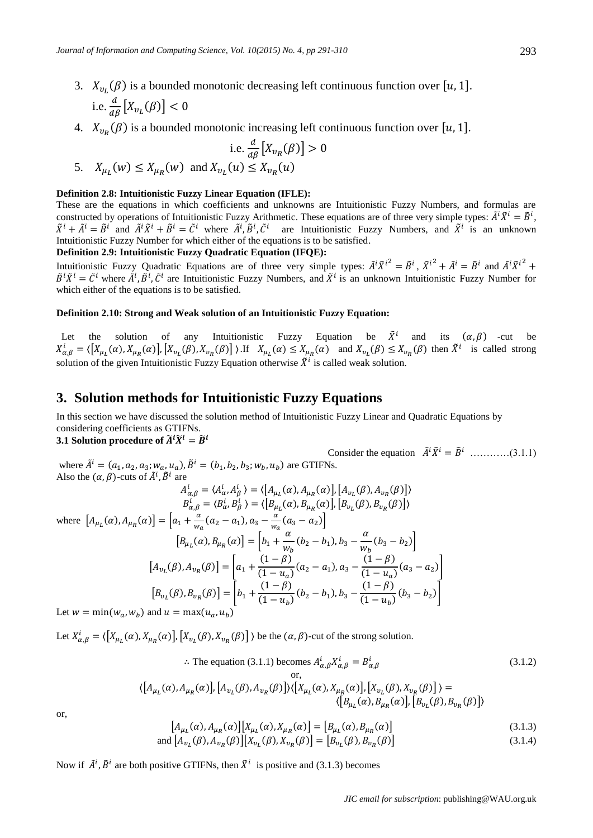- 3.  $X_{\nu}(\beta)$  is a bounded monotonic decreasing left continuous function over [u, 1]. i.e.  $\frac{d}{d\beta}\left[X_{v_L}(\beta)\right]$  <
- 4.  $X_{\nu_R}(\beta)$  is a bounded monotonic increasing left continuous function over [u, 1].

$$
\text{i.e. } \frac{d}{d\beta} \left[ X_{v_R}(\beta) \right] > 0
$$
\n
$$
\text{5. } X_{\mu_L}(w) \le X_{\mu_R}(w) \text{ and } X_{\nu_L}(u) \le X_{\nu_R}(u)
$$

### **Definition 2.8: Intuitionistic Fuzzy Linear Equation (IFLE):**

These are the equations in which coefficients and unknowns are Intuitionistic Fuzzy Numbers, and formulas are constructed by operations of Intuitionistic Fuzzy Arithmetic. These equations are of three very simple types:  $\tilde{A}^i \tilde{X}^i = \tilde{B}^i$ ,  $ilde{X}^i + \tilde{A}^i = \tilde{B}^i$  and  $\tilde{A}^i \tilde{X}^i + \tilde{B}^i = \tilde{C}^i$  where  $\tilde{A}^i, \tilde{B}^i, \tilde{C}^i$  are Intuitionistic Fuzzy Numbers, and  $\tilde{X}^i$  is an unknown Intuitionistic Fuzzy Number for which either of the equations is to be satisfied. **Definition 2.9: Intuitionistic Fuzzy Quadratic Equation (IFQE):** 

Intuitionistic Fuzzy Quadratic Equations are of three very simple types:  $\tilde{A}^i \tilde{X}^{i^2} = \tilde{B}^i$ ,  $\tilde{X}^{i^2} + \tilde{A}^i = \tilde{B}^i$  and  $\tilde{A}^i \tilde{X}^{i^2} +$  $\tilde{B}^i \tilde{X}^i = \tilde{C}^i$  where  $\tilde{A}^i$ ,  $\tilde{B}^i$ ,  $\tilde{C}^i$  are Intuitionistic Fuzzy Numbers, and  $\tilde{X}^i$  is an unknown Intuitionistic Fuzzy Number for which either of the equations is to be satisfied.

#### **Definition 2.10: Strong and Weak solution of an Intuitionistic Fuzzy Equation:**

Let the solution of any Intuitionistic Fuzzy Equation be  $\tilde{X}^i$  and its  $(\alpha, \beta)$  -cut be  $X_{\alpha,\beta}^{i} = \langle [X_{\mu_L}(\alpha), X_{\mu_R}(\alpha)] , [X_{\nu_L}(\beta), X_{\nu_R}(\beta)] \rangle$ . If  $X_{\mu_L}(\alpha) \leq X_{\mu_R}(\alpha)$  and  $X_{\nu_L}(\beta) \leq X_{\nu_R}(\beta)$  then  $\tilde{X}^{i}$  is called strong solution of the given Intuitionistic Fuzzy Equation otherwise  $\tilde{X}^i$  is called weak solution.

### **3. Solution methods for Intuitionistic Fuzzy Equations**

In this section we have discussed the solution method of Intuitionistic Fuzzy Linear and Quadratic Equations by considering coefficients as GTIFNs.

## **3.1 Solution procedure of**  $\widetilde{A}^i \widetilde{X}^i = \widetilde{B}^i$

Consider the equation  $\tilde{A}^i \tilde{X}^i = \tilde{B}^i$  ............(3.1.1) where  $\tilde{A}^i = (a_1, a_2, a_3; w_a, u_a)$ ,  $\tilde{B}^i = (b_1, b_2, b_3; w_b, u_b)$  are GTIFNs. Also the  $(\alpha, \beta)$ -cuts of  $\tilde{A}^i$ ,  $\tilde{B}^i$  are

$$
A_{\alpha,\beta}^{i} = \langle A_{\alpha}^{i}, A_{\beta}^{i} \rangle = \langle \left[ A_{\mu_{L}}(\alpha), A_{\mu_{R}}(\alpha) \right], \left[ A_{\nu_{L}}(\beta), A_{\nu_{R}}(\beta) \right] \rangle
$$
  
\n
$$
B_{\alpha,\beta}^{i} = \langle B_{\alpha}^{i}, B_{\beta}^{i} \rangle = \langle \left[ B_{\mu_{L}}(\alpha), B_{\mu_{R}}(\alpha) \right], \left[ B_{\nu_{L}}(\beta), B_{\nu_{R}}(\beta) \right] \rangle
$$
  
\nwhere 
$$
\left[ A_{\mu_{L}}(\alpha), A_{\mu_{R}}(\alpha) \right] = \left[ a_{1} + \frac{\alpha}{w_{\alpha}} (a_{2} - a_{1}), a_{3} - \frac{\alpha}{w_{\alpha}} (a_{3} - a_{2}) \right]
$$
  
\n
$$
\left[ B_{\mu_{L}}(\alpha), B_{\mu_{R}}(\alpha) \right] = \left[ b_{1} + \frac{\alpha}{w_{b}} (b_{2} - b_{1}), b_{3} - \frac{\alpha}{w_{b}} (b_{3} - b_{2}) \right]
$$
  
\n
$$
\left[ (1 - \beta) \right] \qquad (1 - \beta)
$$

$$
[A_{v_L}(\beta), A_{v_R}(\beta)] = \left[a_1 + \frac{(1-\beta)}{(1-u_a)}(a_2 - a_1), a_3 - \frac{(1-\beta)}{(1-u_a)}(a_3 - a_2)\right]
$$

$$
[B_{v_L}(\beta), B_{v_R}(\beta)] = \left[b_1 + \frac{(1-\beta)}{(1-u_b)}(b_2 - b_1), b_3 - \frac{(1-\beta)}{(1-u_b)}(b_3 - b_2)\right]
$$

Let  $w = min(w_a, w_b)$  and  $u = max(u_a, u_b)$ 

Let  $X_{\alpha,\beta}^i = \langle [X_{\mu_i}(\alpha), X_{\mu_i}(\alpha)], [X_{\nu_i}(\beta), X_{\nu_i}(\beta)] \rangle$  be the  $(\alpha, \beta)$ -cut of the strong solution.

$$
\therefore \text{ The equation (3.1.1) becomes } A_{\alpha,\beta}^i X_{\alpha,\beta}^i = B_{\alpha,\beta}^i \tag{3.1.2}
$$
\n
$$
\text{or,}
$$
\n
$$
\langle [A_{\mu_L}(\alpha), A_{\mu_R}(\alpha)], [A_{\nu_L}(\beta), A_{\nu_R}(\beta)] \rangle \langle [X_{\mu_L}(\alpha), X_{\mu_R}(\alpha)], [X_{\nu_L}(\beta), X_{\nu_R}(\beta)] \rangle = \langle [B_{\mu_L}(\alpha), B_{\mu_R}(\alpha)], [B_{\nu_L}(\beta), B_{\nu_R}(\beta)] \rangle
$$

or,

$$
[A_{\mu_L}(\alpha), A_{\mu_R}(\alpha)] [X_{\mu_L}(\alpha), X_{\mu_R}(\alpha)] = [B_{\mu_L}(\alpha), B_{\mu_R}(\alpha)] \tag{3.1.3}
$$

and 
$$
[A_{v_L}(\beta), A_{v_R}(\beta)][X_{v_L}(\beta), X_{v_R}(\beta)] = [B_{v_L}(\beta), B_{v_R}(\beta)]
$$
\n(3.1.4)

Now if  $\tilde{A}^i$ ,  $\tilde{B}^i$  are both positive GTIFNs, then  $\tilde{X}^i$  is positive and (3.1.3) becomes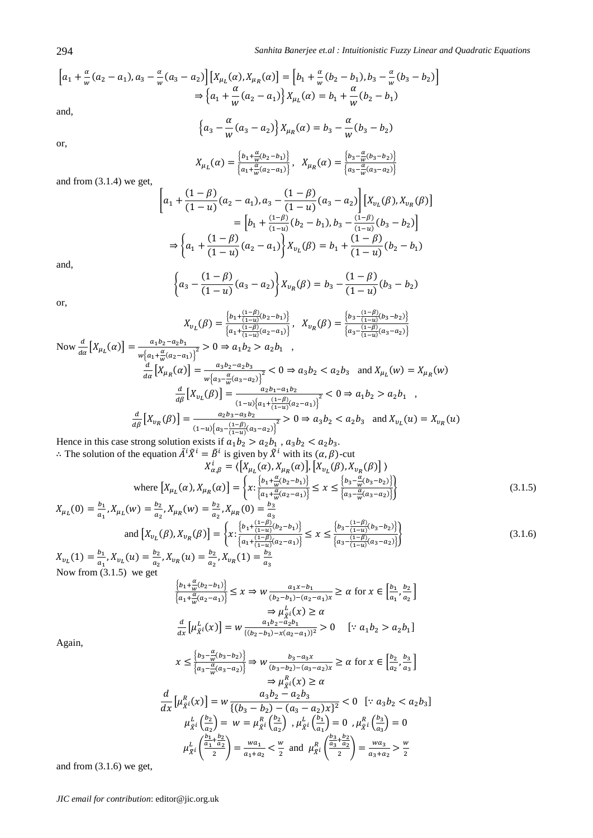$$
\[a_1 + \frac{\alpha}{w}(a_2 - a_1), a_3 - \frac{\alpha}{w}(a_3 - a_2)\] \begin{bmatrix} X_{\mu_L}(\alpha), X_{\mu_R}(\alpha) \end{bmatrix} = \begin{bmatrix} b_1 + \frac{\alpha}{w}(b_2 - b_1), b_3 - \frac{\alpha}{w}(b_3 - b_2) \end{bmatrix} \\\Rightarrow \begin{Bmatrix} a_1 + \frac{\alpha}{w}(a_2 - a_1) \end{Bmatrix} X_{\mu_L}(\alpha) = b_1 + \frac{\alpha}{w}(b_2 - b_1)\end{Bmatrix}
$$

and,

or,

$$
\left\{a_3 - \frac{\alpha}{w}(a_3 - a_2)\right\} X_{\mu_R}(\alpha) = b_3 - \frac{\alpha}{w}(b_3 - b_2)
$$

 $X_{\mu_L}(\alpha) = \frac{\{b_1 + \frac{\alpha}{w}(b_2 - b_1)\}}{\left(\frac{\alpha}{w}(b_2 - b_1)\right)}$  $\frac{\left\{b_1 + \frac{\alpha}{w}(b_2 - b_1)\right\}}{\left\{a_1 + \frac{\alpha}{w}(a_2 - a_1)\right\}}, \quad X_{\mu_R}(\alpha) = \frac{\left\{b_3 - \frac{\alpha}{w}(b_3 - b_2)\right\}}{\left\{a_3 - \frac{\alpha}{w}(a_3 - a_2)\right\}}$  $\left\{ a_3 - \frac{a}{w} (a_3 - a_2) \right\}$ 

and from (3.1.4) we get,

$$
\left[a_1 + \frac{(1-\beta)}{(1-u)}(a_2 - a_1), a_3 - \frac{(1-\beta)}{(1-u)}(a_3 - a_2)\right] \left[X_{v_L}(\beta), X_{v_R}(\beta)\right]
$$

$$
= \left[b_1 + \frac{(1-\beta)}{(1-u)}(b_2 - b_1), b_3 - \frac{(1-\beta)}{(1-u)}(b_3 - b_2)\right]
$$

$$
\Rightarrow \left\{a_1 + \frac{(1-\beta)}{(1-u)}(a_2 - a_1)\right\} X_{v_L}(\beta) = b_1 + \frac{(1-\beta)}{(1-u)}(b_2 - b_1)
$$

and,

$$
\left\{a_3 - \frac{(1 - \beta)}{(1 - u)}(a_3 - a_2)\right\} X_{v_R}(\beta) = b_3 - \frac{(1 - \beta)}{(1 - u)}(b_3 - b_2)
$$

or,

$$
X_{v_L}(\beta) = \frac{\left\{b_1 + \frac{(1-\beta)}{(1-u)}(b_2 - b_1)\right\}}{\left\{a_1 + \frac{(1-\beta)}{(1-u)}(a_2 - a_1)\right\}}, \quad X_{v_R}(\beta) = \frac{\left\{b_3 - \frac{(1-\beta)}{(1-u)}(b_3 - b_2)\right\}}{\left\{a_3 - \frac{(1-\beta)}{(1-u)}(a_3 - a_2)\right\}}
$$
\n
$$
Now \frac{d}{d\alpha} \left[X_{\mu_L}(\alpha)\right] = \frac{a_1b_2 - a_2b_1}{w\left\{a_1 + \frac{\alpha}{w}(a_2 - a_1)\right\}^2} > 0 \Rightarrow a_1b_2 > a_2b_1 \quad ,
$$
\n
$$
\frac{d}{d\alpha} \left[X_{\mu_R}(\alpha)\right] = \frac{a_3b_2 - a_2b_3}{w\left\{a_3 - \frac{\alpha}{w}(a_3 - a_2)\right\}^2} < 0 \Rightarrow a_3b_2 < a_2b_3 \quad \text{and } X_{\mu_L}(w) = X_{\mu_R}(w)
$$
\n
$$
\frac{d}{d\beta} \left[X_{\nu_L}(\beta)\right] = \frac{a_2b_1 - a_1b_2}{(1-u)\left\{a_1 + \frac{(1-\beta)}{(1-u)}(a_2 - a_1)\right\}^2} < 0 \Rightarrow a_1b_2 > a_2b_1 \quad ,
$$
\n
$$
\frac{d}{d\beta} \left[X_{\nu_R}(\beta)\right] = \frac{a_2b_3 - a_3b_2}{(1-u)\left\{a_3 - \frac{(1-\beta)}{(1-u)}(a_3 - a_2)\right\}^2} > 0 \Rightarrow a_3b_2 < a_2b_3 \quad \text{and } X_{\nu_L}(u) = X_{\nu_R}(u)
$$
\nHence in this case strong solution exists if  $a_1b_2 > a_2b_1$ ,  $a_3b_2 < a_2b_3$ .

: The solution of the equation  $\tilde{A}^i \tilde{X}^i = \tilde{B}^i$  is given by  $\tilde{X}^i$  with its  $(\alpha, \beta)$ -cut

$$
X_{\alpha,\beta}^{i} = \langle \left[X_{\mu_L}(\alpha), X_{\mu_R}(\alpha)\right], \left[X_{\nu_L}(\beta), X_{\nu_R}(\beta)\right] \rangle
$$
  
where 
$$
\left[X_{\mu_L}(\alpha), X_{\mu_R}(\alpha)\right] = \left\{x : \frac{\left\{b_1 + \frac{\alpha}{w}(b_2 - b_1)\right\}}{\left\{a_1 + \frac{\alpha}{w}(a_2 - a_1)\right\}} \le x \le \frac{\left\{b_3 - \frac{\alpha}{w}(b_3 - b_2)\right\}}{\left\{a_3 - \frac{\alpha}{w}(a_3 - a_2)\right\}}\right\}
$$
(3.1.5)

$$
X_{\mu_L}(0) = \frac{b_1}{a_1}, X_{\mu_L}(w) = \frac{b_2}{a_2}, X_{\mu_R}(w) = \frac{b_2}{a_2}, X_{\mu_R}(0) = \frac{b_3}{a_3}
$$
  
and 
$$
[X_{\nu_L}(\beta), X_{\nu_R}(\beta)] = \left\{ x : \frac{\left\{b_1 + \frac{(1-\beta)}{(1-u)}(b_2 - b_1)\right\}}{\left\{a_1 + \frac{(1-\beta)}{(1-u)}(a_2 - a_1)\right\}} \le x \le \frac{\left\{b_3 - \frac{(1-\beta)}{(1-u)}(b_3 - b_2)\right\}}{\left\{a_3 - \frac{(1-\beta)}{(1-u)}(a_3 - a_2)\right\}} \right\}
$$
(3.1.6)

 $X_{v_l}(1) = \frac{b}{a}$  $\frac{b_1}{a_1}$ ,  $X_{v_L}(u) = \frac{b}{a}$  $\frac{b_2}{a_2}$ ,  $X_{v_R}(u) = \frac{b}{a}$  $\frac{b_2}{a_2}$ ,  $X_{v_R}(1) = \frac{b}{a}$ Now from (3.1.5) we get

$$
\frac{\left\{b_1 + \frac{\alpha}{w}(b_2 - b_1)\right\}}{\left\{a_1 + \frac{\alpha}{w}(a_2 - a_1)\right\}} \le x \Rightarrow w \frac{a_1 x - b_1}{(b_2 - b_1) - (a_2 - a_1)x} \ge \alpha \text{ for } x \in \left[\frac{b_1}{a_1}, \frac{b_2}{a_2}\right] \\
\Rightarrow \mu_{\tilde{X}}^L(x) \ge \alpha \\
\frac{d}{dx}\left[\mu_{\tilde{X}}^L(x)\right] = w \frac{a_1 b_2 - a_2 b_1}{\left\{(b_2 - b_1) - x(a_2 - a_1)\right\}^2} > 0 \quad [\because a_1 b_2 > a_2 b_1]
$$

 $\boldsymbol{a}$ 

Again,

$$
x \le \frac{\left\{b_3 - \frac{\alpha}{w}(b_3 - b_2)\right\}}{\left\{a_3 - \frac{\alpha}{w}(a_3 - a_2)\right\}} \Rightarrow w \frac{b_3 - a_3 x}{(b_3 - b_2) - (a_3 - a_2)x} \ge \alpha \text{ for } x \in \left[\frac{b_2}{a_2}, \frac{b_3}{a_3}\right]
$$
  
\n
$$
\Rightarrow \mu_{\tilde{X}}^p i(x) \ge \alpha
$$
  
\n
$$
\frac{d}{dx} \left[\mu_{\tilde{X}}^R i(x)\right] = w \frac{a_3 b_2 - a_2 b_3}{\left\{(b_3 - b_2) - (a_3 - a_2)x\right\}^2} < 0 \quad [\because a_3 b_2 < a_2 b_3]
$$
  
\n
$$
\mu_{\tilde{X}}^L \left(\frac{b_2}{a_2}\right) = w = \mu_{\tilde{X}}^R \left(\frac{b_2}{a_2}\right), \mu_{\tilde{X}}^L \left(\frac{b_1}{a_1}\right) = 0, \mu_{\tilde{X}}^R \left(\frac{b_3}{a_3}\right) = 0
$$
  
\n
$$
\mu_{\tilde{X}}^L \left(\frac{\frac{b_1}{a_1} + \frac{b_2}{a_2}}{2}\right) = \frac{wa_1}{a_1 + a_2} < \frac{w}{2} \text{ and } \mu_{\tilde{X}}^R \left(\frac{\frac{b_3}{a_3} + \frac{b_2}{a_2}}{2}\right) = \frac{wa_3}{a_3 + a_2} > \frac{w}{2}
$$

and from (3.1.6) we get,

*JIC email for contribution*: editor@jic.org.uk

294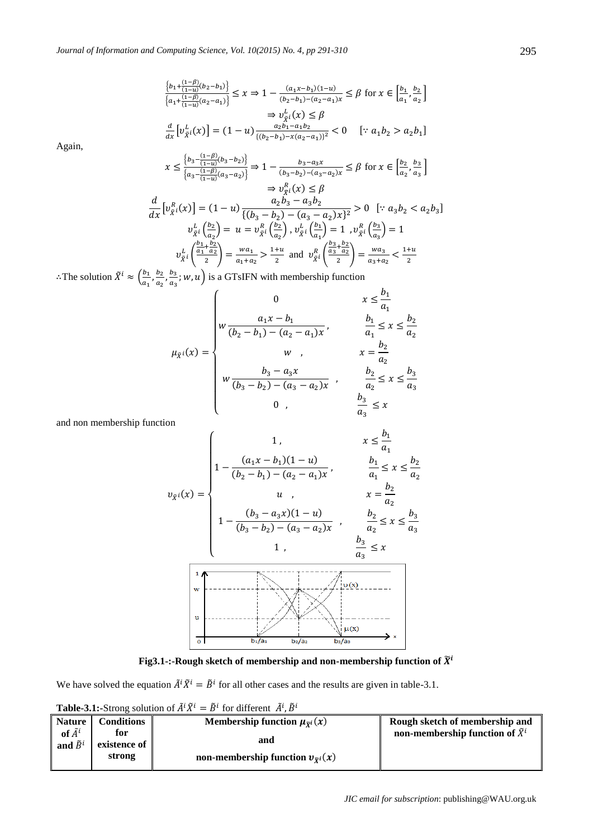$$
\frac{\left\{b_1 + \frac{(1-\beta)}{(1-u)}(b_2 - b_1)\right\}}{\left\{a_1 + \frac{(1-\beta)}{(1-u)}(a_2 - a_1)\right\}} \le x \Rightarrow 1 - \frac{(a_1x - b_1)(1-u)}{(b_2 - b_1) - (a_2 - a_1)x} \le \beta \text{ for } x \in \left[\frac{b_1}{a_1}, \frac{b_2}{a_2}\right]
$$

$$
\Rightarrow v_{\tilde{X}^i}^L(x) \le \beta
$$

$$
\frac{d}{dx}\left[v_{\tilde{X}^i}^L(x)\right] = (1-u)\frac{a_2b_1 - a_1b_2}{\{(b_2 - b_1) - x(a_2 - a_1)\}^2} < 0 \quad [\because a_1b_2 > a_2b_1]
$$

Again,

$$
x \le \frac{\left\{b_3 - \frac{(1-\beta)}{(1-u)(b_3-b_2)}\right\}}{\left\{a_3 - \frac{(1-\beta)}{(1-u)(a_3-a_2)}\right\}} \Rightarrow 1 - \frac{b_3 - a_3x}{(b_3 - b_2) - (a_3 - a_2)x} \le \beta \text{ for } x \in \left[\frac{b_2}{a_2}, \frac{b_3}{a_3}\right]
$$

$$
\Rightarrow v_{\tilde{X}}^{\tilde{U}}(x) \le \beta
$$

$$
\frac{d}{dx} \left[v_{\tilde{X}}^{\tilde{R}}(x)\right] = (1-u) \frac{a_2b_3 - a_3b_2}{\left\{(b_3 - b_2) - (a_3 - a_2)x\right\}^2} > 0 \quad [\because a_3b_2 < a_2b_3]
$$

$$
v_{\tilde{X}}^{\tilde{L}}\left(\frac{b_2}{a_2}\right) = u = v_{\tilde{X}}^{\tilde{R}}\left(\frac{b_2}{a_2}\right), v_{\tilde{X}}^{\tilde{L}}\left(\frac{b_1}{a_1}\right) = 1, v_{\tilde{X}}^{\tilde{R}}\left(\frac{b_3}{a_3}\right) = 1
$$

$$
v_{\tilde{X}}^{\tilde{L}}\left(\frac{\frac{b_1}{a_1} + \frac{b_2}{a_2}}{2}\right) = \frac{wa_1}{a_1 + a_2} > \frac{1+u}{2} \text{ and } v_{\tilde{X}}^{\tilde{R}}\left(\frac{\frac{b_3}{a_3} + \frac{b_2}{a_2}}{2}\right) = \frac{wa_3}{a_3 + a_2} < \frac{1+u}{2}
$$

: The solution  $\tilde{X}^i \approx \left(\frac{b}{a}\right)$  $rac{b_1}{a_1}$ ,  $rac{b}{a}$  $\frac{b_2}{a_2}$ ,  $\frac{b}{a}$  $\frac{\mu_3}{\mu_3}$ ; w, u) is a GTsIFN with membership function

$$
\mu_{\bar{x}^{i}}(x) = \begin{cases}\n0 & x \leq \frac{b_{1}}{a_{1}} \\
w \frac{a_{1}x - b_{1}}{(b_{2} - b_{1}) - (a_{2} - a_{1})x}, & \frac{b_{1}}{a_{1}} \leq x \leq \frac{b_{2}}{a_{2}} \\
w, & x = \frac{b_{2}}{a_{2}} \\
w \frac{b_{3} - a_{3}x}{(b_{3} - b_{2}) - (a_{3} - a_{2})x}, & \frac{b_{2}}{a_{2}} \leq x \leq \frac{b_{3}}{a_{3}} \\
0, & \frac{b_{3}}{a_{3}} \leq x\n\end{cases}
$$

and non membership function

$$
v_{\bar{x}^{i}}(x) = \begin{cases} 1, & x \leq \frac{b_{1}}{a_{1}} \\ 1 - \frac{(a_{1}x - b_{1})(1 - u)}{(b_{2} - b_{1}) - (a_{2} - a_{1})x}, & \frac{b_{1}}{a_{1}} \leq x \leq \frac{b_{2}}{a_{2}} \\ u, & x = \frac{b_{2}}{a_{2}} \\ 1 - \frac{(b_{3} - a_{3}x)(1 - u)}{(b_{3} - b_{2}) - (a_{3} - a_{2})x}, & \frac{b_{2}}{a_{2}} \leq x \leq \frac{b_{3}}{a_{3}} \\ 1, & \frac{b_{3}}{a_{3}} \leq x \end{cases}
$$

**Fig3.1-:-Rough sketch of membership and non-membership function of**  $\widetilde{X}^i$ 

We have solved the equation  $\tilde{A}^i \tilde{X}^i = \tilde{B}^i$  for all other cases and the results are given in table-3.1.

**Table-3.1:**-Strong solution of  $\tilde{A}^i \tilde{X}^i = \tilde{B}^i$  for different  $\tilde{A}^i, \tilde{B}^i$ 

| <b>THEIR SHIPS</b> SUBSIDED TO $H$ and $H$ and $H$ and $H$ |                   |                                                     |                                          |  |
|------------------------------------------------------------|-------------------|-----------------------------------------------------|------------------------------------------|--|
| <b>Nature</b>                                              | <b>Conditions</b> | Membership function $\mu_{\tilde{\mathbf{y}}^i}(x)$ | Rough sketch of membership and           |  |
| of $\tilde{A}^i$                                           | for               |                                                     | non-membership function of $\tilde{X}^i$ |  |
| and $\tilde{B}^i$                                          | existence of      | and                                                 |                                          |  |
|                                                            | strong            | non-membership function $v_{\tilde{\gamma}^i}(x)$   |                                          |  |
|                                                            |                   |                                                     |                                          |  |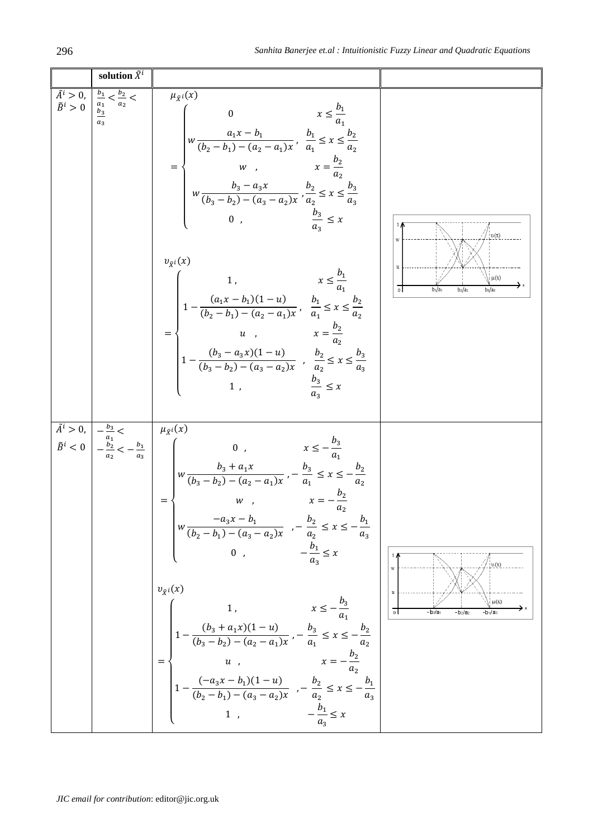| solution $\tilde{X}^i$                                                                                                            |                                                                                                                                                                                                                                                                                                                                                                                                                                                                                                                                                                                                                                                                                                                                                                                                                                                                                                                                                                                                                    |                                                                                                  |
|-----------------------------------------------------------------------------------------------------------------------------------|--------------------------------------------------------------------------------------------------------------------------------------------------------------------------------------------------------------------------------------------------------------------------------------------------------------------------------------------------------------------------------------------------------------------------------------------------------------------------------------------------------------------------------------------------------------------------------------------------------------------------------------------------------------------------------------------------------------------------------------------------------------------------------------------------------------------------------------------------------------------------------------------------------------------------------------------------------------------------------------------------------------------|--------------------------------------------------------------------------------------------------|
| $\tilde{A}^i > 0,$ $\left  \frac{b_1}{a_1} < \frac{b_2}{a_2} < \tilde{B}^i \right  > 0$ $\left  \frac{b_3}{b_3} \right $<br>$a_3$ | $\mu_{\tilde{X}}(x)$<br>$=\begin{cases} \begin{matrix} 0 & x\leq \frac{b_1}{a_1}\\ w\frac{a_1x-b_1}{(b_2-b_1)-(a_2-a_1)x}, & \frac{b_1}{a_1}\leq x\leq \frac{b_2}{a_2}\\ & w\end{matrix}\\ \begin{matrix} w & x=\frac{b_2}{a_2}\\ w\frac{b_3-a_3x}{(b_3-b_2)-(a_3-a_2)x}, & \frac{b_2}{a_2}\leq x\leq \frac{b_3}{a_3} \end{matrix} \end{cases}$<br>0, $\frac{b_3}{a_2} \leq x$<br>$v_{\tilde{X}^i}(x)$<br>$=\begin{cases} &1\,,\quad &x\leq\frac{b_1}{a_1}\\ &1-\frac{(a_1x-b_1)(1-u)}{(b_2-b_1)-(a_2-a_1)x}\,,\;\;\frac{b_1}{a_1}\leq x\leq\frac{b_2}{a_2}\\ &u\quad,\quad &x=\frac{b_2}{a_2}\\ &1-\frac{(b_3-a_3x)(1-u)}{(b_3-b_2)-(a_3-a_2)x}\,\;,\;\;\frac{b_2}{a_2}\leq x\leq\frac{b_3}{a_3}\\ &1\ ,\quad &\frac{b_3}{a_3}\leq x \end{cases}$                                                                                                                                                                                                                                                                 | $\upsilon(x)$<br>$\mu(x)$<br>$b_1/a_1$<br>$b_2/a_2$                                              |
|                                                                                                                                   | $\begin{array}{ c c } \hline \tilde{A}^i>0, & -\frac{b_3}{a_1} < & \mu_{\tilde{X}^i}(x) \\ & & -\frac{b_2}{a_2} < -\frac{b_1}{a_3} \\ & & & \mu_{\tilde{X}^i}(x) \\ & & & & \mu_{\tilde{X}^i}(x) \\ & & & & \mu_{\tilde{X}^i}(x) \\ & & & & \mu_{\tilde{X}^i}(x) \\ & & & & \mu_{\tilde{X}^i}(x) \\ & & & & \mu_{\tilde{X}^i}(x) \\ & & & & \mu_{\tilde{X}^i}(x) \\ & & & & \$<br>$w \frac{-a_3x - b_1}{(b_2 - b_1) - (a_3 - a_2)x}$ , $-\frac{b_2}{a_2} \le x \le -\frac{b_1}{a_3}$<br>0, $-\frac{b_1}{a_2} \le x$<br>$v_{\tilde{X}}(x)$<br>$\begin{array}{l} \left \begin{array}{cc} & 1\,, & x\leq -\displaystyle\frac{b_3}{a_1} \\ \\ \displaystyle 1-\frac{(b_3+a_1x)(1-u)}{(b_3-b_2)-(a_2-a_1)x}\,,-\frac{b_3}{a_1}\leq x\leq -\frac{b_2}{a_2} \\ & u\ , & x=-\displaystyle\frac{b_2}{a_2} \\ \\ \displaystyle 1-\frac{(-a_3x-b_1)(1-u)}{(b_2-b_1)-(a_3-a_2)x}\ ,-\frac{b_2}{a_2}\leq x\leq -\frac{b_1}{a_3} \\ & \xrightarrow{\qquad \qquad \, \, } \end{array} \$<br>$-\frac{\bar{b}_1}{a_2} \leq x$<br>1, | v(x)<br>W<br>$\mathbf{u}$<br>$\mu(x)$<br>- b <sub>3</sub> /a <sub>1</sub><br>- b2/a2<br>$-b1/a3$ |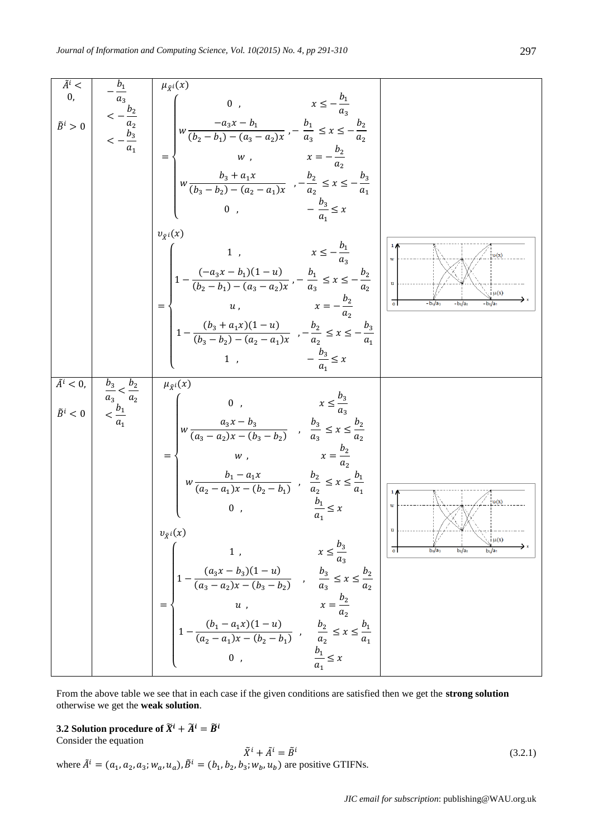|                                       |                                                          | = $\begin{cases} w, & x = -\frac{b_2}{a_2} \\ w \frac{b_3 + a_1 x}{(b_3 - b_2) - (a_2 - a_1)x}, & -\frac{b_2}{a_2} \le x \le -\frac{b_3}{a_1} \end{cases}$<br>$-\frac{b_3}{a} \leq x$<br>0,                                                                                                                                                                                                                                                                                                                                                                                                                                                                                                                                                              |                                                                      |
|---------------------------------------|----------------------------------------------------------|----------------------------------------------------------------------------------------------------------------------------------------------------------------------------------------------------------------------------------------------------------------------------------------------------------------------------------------------------------------------------------------------------------------------------------------------------------------------------------------------------------------------------------------------------------------------------------------------------------------------------------------------------------------------------------------------------------------------------------------------------------|----------------------------------------------------------------------|
|                                       |                                                          | $v_{\tilde{X}^i}(x)$<br>1, $x \le -\frac{b_1}{a_2}$<br>$=\begin{cases}\n1-\frac{(-a_3x-b_1)(1-u)}{(b_2-b_1)-(a_3-a_2)x}-\frac{b_1}{a_3} \leq x \leq -\frac{b_2}{a_2} \\ u, \qquad x=-\frac{b_2}{a_2} \\ 1-\frac{(b_3+a_1x)(1-u)}{(b_3-b_2)-(a_2-a_1)x}-\frac{b_2}{a_2} \leq x \leq -\frac{b_3}{a_1}\n\end{cases}$<br>$-\frac{b_3}{a} \leq x$<br>1,                                                                                                                                                                                                                                                                                                                                                                                                       | v(x)<br>$\mathbf{W}$<br>$\mu(x)$<br>$\overline{\circ}$<br>$-b_1/a_3$ |
| $\tilde{A}^i < 0,$<br>$\tilde{B}^i<0$ | $rac{b_3}{a_3} < \frac{b_2}{a_2}$<br>$< \frac{b_1}{a_1}$ | $\mu_{\tilde{X}^i}(x)$<br>0, $x \leq \frac{b_3}{a_3}$<br>$w \frac{a_3x - b_3}{(a_3 - a_2)x - (b_3 - b_2)}$ , $\frac{b_3}{a_3} \le x \le \frac{b_2}{a_2}$<br>$b_2$<br>= $\begin{cases} w, & x = \frac{b_2}{a_2} \\ w \frac{b_1 - a_1 x}{(a_2 - a_1)x - (b_2 - b_1)}, & \frac{b_2}{a_2} \le x \le \frac{b_1}{a_1} \end{cases}$<br>$rac{b_1}{a_1} \leq x$<br>0,<br>$v_{\tilde{X}}(x)$<br>1, $x \le \frac{b_3}{a_3}$<br>$= \begin{cases} 1, & x \le \frac{b_3}{a_3} \\ 1 - \frac{(a_3x - b_3)(1 - u)}{(a_3 - a_2)x - (b_3 - b_2)} , & \frac{b_3}{a_3} \le x \le \frac{b_2}{a_2} \\ u, & x = \frac{b_2}{a_2} \\ 1 - \frac{(b_1 - a_1x)(1 - u)}{(a_2 - a_1)x - (b_2 - b_1)} , & \frac{b_2}{a_2} \le x \le \frac{b_1}{a_1} \\ 0, & \frac{b_1}{a_1} \le x \end{$ | 1 <sub>0</sub><br>$\nu(x)$<br>W<br>$\mu(x)$                          |

From the above table we see that in each case if the given conditions are satisfied then we get the **strong solution** otherwise we get the **weak solution**.

# **3.2 Solution procedure of**  $\widetilde{X}^i + \widetilde{A}^i = \widetilde{B}^i$

Consider the equation

$$
\tilde{X}^i + \tilde{A}^i = \tilde{B}^i
$$
\nwhere  $\tilde{A}^i = (a_1, a_2, a_3; w_a, u_a), \tilde{B}^i = (b_1, b_2, b_3; w_b, u_b)$  are positive GTIFNs. (3.2.1)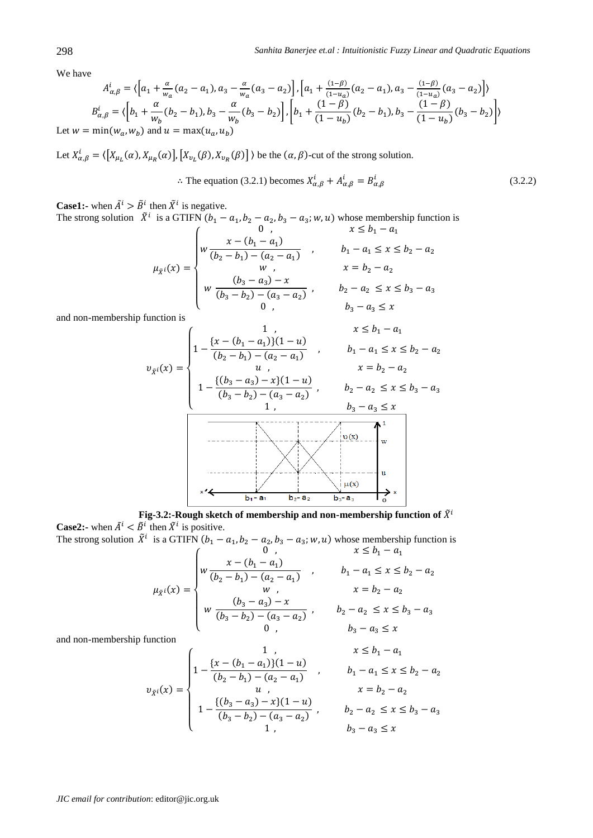We have

$$
A_{\alpha,\beta}^{i} = \langle \left[a_1 + \frac{\alpha}{w_a}(a_2 - a_1), a_3 - \frac{\alpha}{w_a}(a_3 - a_2)\right], \left[a_1 + \frac{(1-\beta)}{(1-u_a)}(a_2 - a_1), a_3 - \frac{(1-\beta)}{(1-u_a)}(a_3 - a_2)\right] \rangle
$$
  
\n
$$
B_{\alpha,\beta}^{i} = \langle \left[b_1 + \frac{\alpha}{w_b}(b_2 - b_1), b_3 - \frac{\alpha}{w_b}(b_3 - b_2)\right], \left[b_1 + \frac{(1-\beta)}{(1-u_b)}(b_2 - b_1), b_3 - \frac{(1-\beta)}{(1-u_b)}(b_3 - b_2)\right] \rangle
$$
  
\nLet  $w = \min(w_a, w_b)$  and  $u = \max(u_a, u_b)$ 

Let  $X_{\alpha,\beta}^i = \langle [X_{\mu_L}(\alpha), X_{\mu_R}(\alpha)], [X_{\nu_L}(\beta), X_{\nu_R}(\beta)] \rangle$  be the  $(\alpha, \beta)$ -cut of the strong solution.

$$
\therefore \text{ The equation (3.2.1) becomes } X_{\alpha,\beta}^i + A_{\alpha,\beta}^i = B_{\alpha,\beta}^i \tag{3.2.2}
$$

**Case1:-** when  $\tilde{A}^i > \tilde{B}^i$  then  $\tilde{X}^i$  is negative.

The strong solution  $\tilde{X}^i$  is a GTIFN  $(b_1 - a_1, b_2 - a_2, b_3 - a_3; w, u)$  whose membership function is

$$
\mu_{\tilde{X}^i}(x) = \begin{cases}\n0, & x \le b_1 - a_1 \\
w \frac{x - (b_1 - a_1)}{(b_2 - b_1) - (a_2 - a_1)} & b_1 - a_1 \le x \le b_2 - a_2 \\
w, & x = b_2 - a_2 \\
w \frac{(b_3 - a_3) - x}{(b_3 - b_2) - (a_3 - a_2)} & b_2 - a_2 \le x \le b_3 - a_3 \\
0, & b_3 - a_3 \le x\n\end{cases}
$$

and non-membership function is

$$
v_{\tilde{X}^i}(x) = \begin{cases} 1, & x \le b_1 - a_1 \\ 1 - \frac{\{x - (b_1 - a_1)\}(1 - u)}{(b_2 - b_1) - (a_2 - a_1)} \\ u, & x = b_2 - a_2 \end{cases}
$$
  

$$
v_{\tilde{X}^i}(x) = \begin{cases} 1, & x \le b_1 - a_1 \\ u, & x \le b_2 - a_2 \end{cases}
$$
  

$$
1 - \frac{\{(b_3 - a_3) - x\}(1 - u)}{(b_3 - b_2) - (a_3 - a_2)} \\ v_{\tilde{X}^i}(x) = \begin{cases} 1, & b_3 - a_3 \le x \\ u_{\tilde{X}^i}(x) \le u_{\tilde{X}^i}(x) \end{cases}
$$

**Fig-3.2:-Rough sketch of membership and non-membership function of**  $\tilde{X}^i$ **Case2:-** when  $\tilde{A}^i < \tilde{B}^i$  then  $\tilde{X}^i$  is positive.

The strong solution  $\tilde{X}^i$  is a GTIFN  $(b_1 - a_1, b_2 - a_2, b_3 - a_3; w, u)$  whose membership function is

$$
\mu_{\bar{x}^{i}}(x) = \begin{cases}\n0, & x \leq b_1 - a_1 \\
w \frac{x - (b_1 - a_1)}{(b_2 - b_1) - (a_2 - a_1)} & b_1 - a_1 \leq x \leq b_2 - a_2 \\
w, & x = b_2 - a_2 \\
w \frac{(b_3 - a_3) - x}{(b_3 - b_2) - (a_3 - a_2)} & b_2 - a_2 \leq x \leq b_3 - a_3 \\
0, & b_3 - a_3 \leq x\n\end{cases}
$$

and non-membership function

$$
v_{\tilde{X}^{i}}(x) = \begin{cases} 1, & x \leq b_1 - a_1 \\ 1 - \frac{\{x - (b_1 - a_1)\}(1 - u)}{(b_2 - b_1) - (a_2 - a_1)} \\ u, & x = b_2 - a_2 \\ 1 - \frac{\{(b_3 - a_3) - x\}(1 - u)}{(b_3 - b_2) - (a_3 - a_2)} \\ 1, & b_3 - a_3 \leq x \end{cases}
$$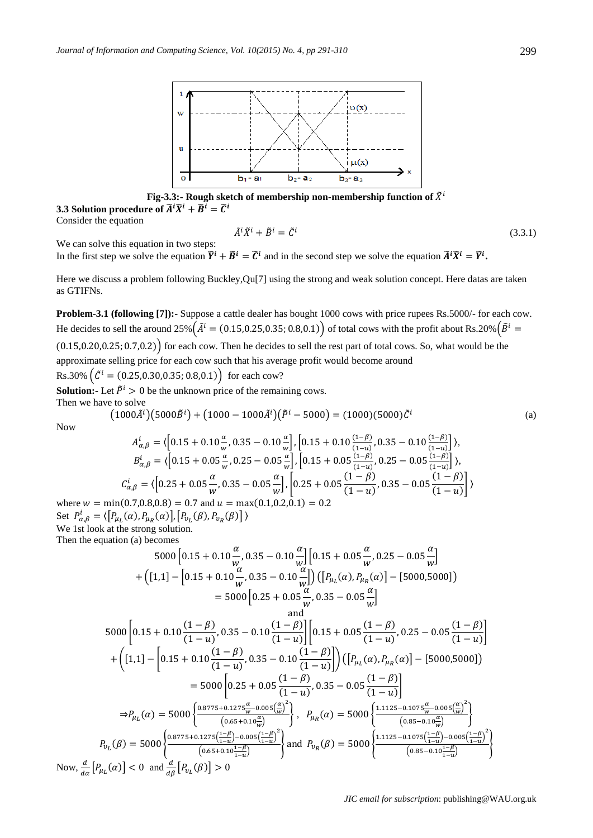

**Fig-3.3:-** Rough sketch of membership non-membership function of  $\tilde{X}^i$ **3.3 Solution procedure of**  $\widetilde{A}^i \widetilde{X}^i + \widetilde{B}^i = \widetilde{C}^i$ 

Consider the equation

$$
\tilde{A}^i \tilde{X}^i + \tilde{B}^i = \tilde{C}^i \tag{3.3.1}
$$

We can solve this equation in two steps:

In the first step we solve the equation  $\tilde{Y}^i + \tilde{B}^i = \tilde{C}^i$  and in the second step we solve the equation  $\tilde{A}^i \tilde{X}^i = \tilde{Y}^i$ .

Here we discuss a problem following Buckley,Qu[7] using the strong and weak solution concept. Here datas are taken as GTIFNs.

**Problem-3.1 (following [7]):-** Suppose a cattle dealer has bought 1000 cows with price rupees Rs.5000/- for each cow. He decides to sell the around 25%  $(\tilde{A}^i = (0.15,0.25,0.35;0.8,0.1))$  of total cows with the profit about Rs.20%  $(\tilde{B}^i$ 

 $(0.15, 0.20, 0.25; 0.7, 0.2)$  for each cow. Then he decides to sell the rest part of total cows. So, what would be the approximate selling price for each cow such that his average profit would become around Rs.30%  $(\tilde{C}^i = (0.25, 0.30, 0.35; 0.8, 0.1))$  for each cow?

**Solution:**- Let  $\tilde{P}^i > 0$  be the unknown price of the remaining cows. Then we have to solve

$$
(1000\tilde{A}^i)(5000\tilde{B}^i) + (1000 - 1000\tilde{A}^i)(\tilde{P}^i - 5000) = (1000)(5000)\tilde{C}^i
$$
 (a)

Now

$$
A_{\alpha,\beta}^{i} = \langle \left[ 0.15 + 0.10 \frac{\alpha}{w}, 0.35 - 0.10 \frac{\alpha}{w} \right], \left[ 0.15 + 0.10 \frac{(1-\beta)}{(1-u)}, 0.35 - 0.10 \frac{(1-\beta)}{(1-u)} \right] \rangle,
$$
  
\n
$$
B_{\alpha,\beta}^{i} = \langle \left[ 0.15 + 0.05 \frac{\alpha}{w}, 0.25 - 0.05 \frac{\alpha}{w} \right], \left[ 0.15 + 0.05 \frac{(1-\beta)}{(1-u)}, 0.25 - 0.05 \frac{(1-\beta)}{(1-u)} \right] \rangle,
$$
  
\n
$$
C_{\alpha,\beta}^{i} = \langle \left[ 0.25 + 0.05 \frac{\alpha}{w}, 0.35 - 0.05 \frac{\alpha}{w} \right], \left[ 0.25 + 0.05 \frac{(1-\beta)}{(1-u)}, 0.35 - 0.05 \frac{(1-\beta)}{(1-u)} \right] \rangle
$$

where  $w = min(0.7, 0.8, 0.8) = 0.7$  and  $u = max(0.1, 0.2, 0.1) = 0.2$ Set  $P_{\alpha,\beta}^{i} = \langle [P_{\mu_L}(\alpha), P_{\mu_R}(\alpha)], [P_{\nu_L}(\beta), P_{\nu_R}(\beta)] \rangle$ We 1st look at the strong solution.

Then the equation (a) becomes

$$
5000[0.15 + 0.10\frac{\alpha}{w}, 0.35 - 0.10\frac{\alpha}{w}][0.15 + 0.05\frac{\alpha}{w}, 0.25 - 0.05\frac{\alpha}{w}]
$$
  
+ 
$$
([1,1] - [0.15 + 0.10\frac{\alpha}{w}, 0.35 - 0.10\frac{\alpha}{w}]) ([P_{\mu_L}(\alpha), P_{\mu_R}(\alpha)] - [5000,5000])
$$
  
= 
$$
5000[0.25 + 0.05\frac{\alpha}{w}, 0.35 - 0.05\frac{\alpha}{w}]
$$
  
and  

$$
5000[0.15 + 0.10\frac{(1 - \beta)}{(1 - u)}, 0.35 - 0.10\frac{(1 - \beta)}{(1 - u)}][0.15 + 0.05\frac{(1 - \beta)}{(1 - u)}, 0.25 - 0.05\frac{(1 - \beta)}{(1 - u)}]
$$
  

$$
[(54.1 - [0.45 + 0.10(1 - \beta), 0.35 - 0.10(1 - \beta)])(58.6 \times 2.5 - 0.05(1 - \alpha)]
$$

$$
+\left([1,1]-\left[0.15+0.10\frac{(-\mu)}{(1-u)},0.35-0.10\frac{(-\mu)}{(1-u)}\right]\right)\left(\left[P_{\mu_L}(\alpha),P_{\mu_R}(\alpha)\right]-\left[5000,5000\right]\right)
$$
\n
$$
=5000\left[0.25+0.05\frac{(1-\beta)}{(1-u)},0.35-0.05\frac{(1-\beta)}{(1-u)}\right]
$$
\n
$$
\Rightarrow P_{\mu_L}(\alpha) = 5000\left\{\frac{0.8775+0.1275\frac{\alpha}{w}-0.005\left(\frac{\alpha}{w}\right)^{2}}{(0.65+0.10\frac{\alpha}{w})}\right\}, P_{\mu_R}(\alpha) = 5000\left\{\frac{1.1125-0.1075\frac{\alpha}{w}-0.005\left(\frac{\alpha}{w}\right)^{2}}{(0.85-0.10\frac{\alpha}{w})}\right\}
$$
\n
$$
P_{\nu_L}(\beta) = 5000\left\{\frac{0.8775+0.1275\left(\frac{1-\beta}{1-u}\right)-0.005\left(\frac{1-\beta}{1-u}\right)^{2}}{(0.65+0.10\frac{1-\beta}{1-u})}\right\}\text{ and } P_{\nu_R}(\beta) = 5000\left\{\frac{1.1125-0.1075\left(\frac{1-\beta}{1-u}\right)-0.005\left(\frac{1-\beta}{1-u}\right)^{2}}{(0.85-0.10\frac{1-\beta}{1-u})}\right\}
$$

Now,  $\frac{a}{d\alpha} [P_{\mu_L}(\alpha)] < 0$  and  $\frac{a}{d\beta} [P_{\nu_L}(\beta)] >$ 

}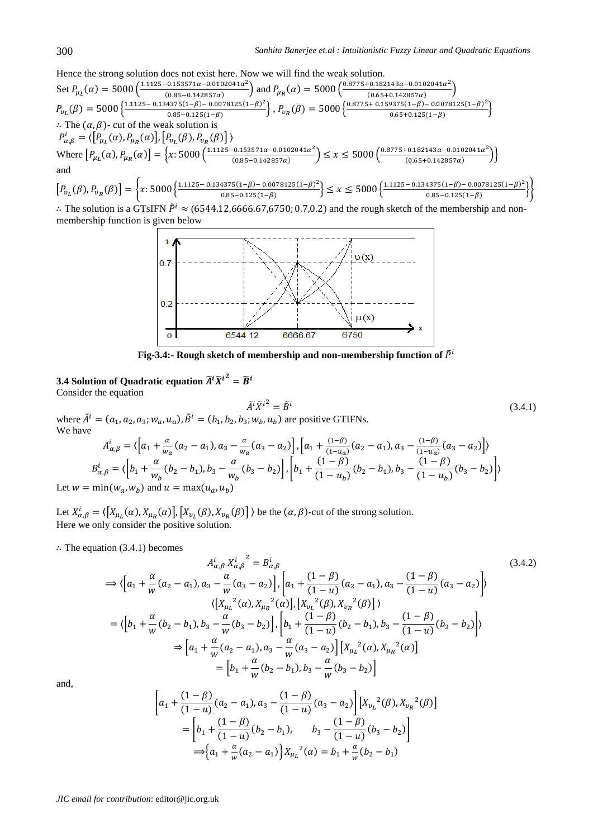(3.4.1)

#### Hence the strong solution does not exist here. Now we will find the weak solution.

Set  $P_{\mu_L}(\alpha) = 5000 \left( \frac{1.1125 - 0.153571\alpha - 0.0102041\alpha^2}{(0.85 - 0.143857\alpha)} \right)$  $\left( \frac{0.0153571\alpha - 0.0102041\alpha^2}{0.085 - 0.142857\alpha} \right)$  and  $P_{\mu_R}(\alpha) = 5000 \left( \frac{0.8775 + 0.182143\alpha - 0.0102041\alpha^2}{0.65 + 0.142857\alpha} \right)$  $\frac{(0.65+0.142857\alpha)}{(0.65+0.142857\alpha)}$  $P_{v_L}(\beta) = 5000 \frac{\left( \frac{1.1125 - 0.134375(1 - \beta) - 0.0078125(1 - \beta)^2}{0.85 - 0.125(1 - \beta)} \right)}{0.85 - 0.125(1 - \beta)}$  $\left.\begin{array}{l} 4375(1-\beta)-0.0078125(1-\beta)^2\\0.85-0.125(1-\beta)\end{array}\right\}, P_{v_R}(\beta)=5000\left\{\begin{array}{l} 0.8775+0.159375(1-\beta)-0.0078125(1-\beta)^2\\0.65+0.125(1-\beta)\end{array}\right.$  $\frac{0.65+0.125(1-\beta)}{0.65+0.125(1-\beta)}$  $\therefore$  The  $(\alpha, \beta)$ - cut of the weak solution is  $P_{\alpha,\beta}^{i} = \langle \left[ P_{\mu_L}(\alpha), P_{\mu_R}(\alpha) \right], \left[ P_{\nu_L}(\beta), P_{\nu_R}(\beta) \right] \rangle$ Where  $[P_{\mu_L}(\alpha), P_{\mu_R}(\alpha)] = \left\{ x: 5000 \left( \frac{1.1125 - 0.153571\alpha - 0.0102041\alpha^2}{(0.85 - 0.142857\alpha)} \right) \right\}$  $\left( \frac{0.0153571a - 0.0102041a^2}{0.085 - 0.142857a} \right) \le x \le 5000 \left( \frac{0.8775 + 0.182143a - 0.0102041a^2}{0.65 + 0.142857a} \right)$  $\left( \frac{0.65+0.142857\alpha}{0.65+0.142857\alpha} \right)$ and  $[P_{v_L}(\beta), P_{v_R}(\beta)] = \left\{ x: 5000 \left\{ \frac{1.1125 - 0.134375(1-\beta) - 0.0078125(1-\beta)^2}{0.95 - 0.125(1-\beta)} \right\} \right\}$  $\frac{4375(1-\beta)-0.0078125(1-\beta)^2}{0.85-0.125(1-\beta)} \leq x \leq 5000 \left\{ \frac{1.1125-0.134375(1-\beta)-0.0078125(1-\beta)^2}{0.85-0.125(1-\beta)} \right\}$  $\left\{\n \begin{array}{l}\n \text{1375} \left(1-p\right) \quad \text{0.0378125} \left(1-p\right) \\
 \text{0.85} -0.125 \left(1-\beta\right)\n \end{array}\n \right\}\n \right\}$ 

 $\therefore$  The solution is a GTsIFN  $\tilde{P}^i \approx (6544.12,6666.67,6750; 0.7,0.2)$  and the rough sketch of the membership and nonmembership function is given below



Fig-3.4:- Rough sketch of membership and non-membership function of  $\tilde{P}^i$ 

### **3.4** Solution of Quadratic equation  $\widetilde{A}^i \widetilde{X}^{i^2} = \widetilde{B}^i$ Consider the equation

where 
$$
\tilde{A}^i = (a_1, a_2, a_3; w_a, u_a)
$$
,  $\tilde{B}^i = (b_1, b_2, b_3; w_b, u_b)$  are positive GTIFNs.  
We have

$$
A_{\alpha,\beta}^{i} = \langle \left[a_{1} + \frac{\alpha}{w_{\alpha}}(a_{2} - a_{1}), a_{3} - \frac{\alpha}{w_{\alpha}}(a_{3} - a_{2})\right], \left[a_{1} + \frac{(1-\beta)}{(1-u_{\alpha})}(a_{2} - a_{1}), a_{3} - \frac{(1-\beta)}{(1-u_{\alpha})}(a_{3} - a_{2})\right] \rangle
$$
  
\n
$$
B_{\alpha,\beta}^{i} = \langle \left[b_{1} + \frac{\alpha}{w_{b}}(b_{2} - b_{1}), b_{3} - \frac{\alpha}{w_{b}}(b_{3} - b_{2})\right], \left[b_{1} + \frac{(1-\beta)}{(1-u_{b})}(b_{2} - b_{1}), b_{3} - \frac{(1-\beta)}{(1-u_{b})}(b_{3} - b_{2})\right] \rangle
$$
  
\n
$$
= \min(w_{\alpha}, w_{b}) \text{ and } u = \max(u_{\alpha}, u_{b})
$$

Let  $w =$ ) and  $u = max(u)$ )

Let  $X_{\alpha,\beta}^i = \langle [X_{\mu_i}(\alpha), X_{\mu_k}(\alpha)], [X_{\nu_i}(\beta), X_{\nu_k}(\beta)] \rangle$  be the  $(\alpha, \beta)$ -cut of the strong solution. Here we only consider the positive solution.

 $\therefore$  The equation (3.4.1) becomes

$$
A_{\alpha,\beta}^{i} X_{\alpha,\beta}^{i}^{2} = B_{\alpha,\beta}^{i}
$$
\n
$$
\Rightarrow \langle \left[a_{1} + \frac{\alpha}{w}(a_{2} - a_{1}), a_{3} - \frac{\alpha}{w}(a_{3} - a_{2})\right], \left[a_{1} + \frac{(1-\beta)}{(1-u)}(a_{2} - a_{1}), a_{3} - \frac{(1-\beta)}{(1-u)}(a_{3} - a_{2})\right] \rangle
$$
\n
$$
\langle \left[X_{\mu_{L}}^{2}(\alpha), X_{\mu_{R}}^{2}(\alpha)\right], \left[X_{\nu_{L}}^{2}(\beta), X_{\nu_{R}}^{2}(\beta)\right] \rangle
$$
\n
$$
= \langle \left[b_{1} + \frac{\alpha}{w}(b_{2} - b_{1}), b_{3} - \frac{\alpha}{w}(b_{3} - b_{2})\right], \left[b_{1} + \frac{(1-\beta)}{(1-u)}(b_{2} - b_{1}), b_{3} - \frac{(1-\beta)}{(1-u)}(b_{3} - b_{2})\right] \rangle
$$
\n
$$
\Rightarrow \left[a_{1} + \frac{\alpha}{w}(a_{2} - a_{1}), a_{3} - \frac{\alpha}{w}(a_{3} - a_{2})\right] \left[X_{\mu_{L}}^{2}(\alpha), X_{\mu_{R}}^{2}(\alpha)\right]
$$
\n
$$
= \left[b_{1} + \frac{\alpha}{w}(b_{2} - b_{1}), b_{3} - \frac{\alpha}{w}(b_{3} - b_{2})\right]
$$
\n(3.4.2)

and,

$$
\begin{aligned}\n\left[a_1 + \frac{(1-\beta)}{(1-u)}(a_2 - a_1), a_3 - \frac{(1-\beta)}{(1-u)}(a_3 - a_2)\right] \left[X_{v_L}{}^2(\beta), X_{v_R}{}^2(\beta)\right] \\
&= \left[b_1 + \frac{(1-\beta)}{(1-u)}(b_2 - b_1), \qquad b_3 - \frac{(1-\beta)}{(1-u)}(b_3 - b_2)\right] \\
&\Longrightarrow \left\{a_1 + \frac{\alpha}{w}(a_2 - a_1)\right\} X_{\mu_L}{}^2(\alpha) = b_1 + \frac{\alpha}{w}(b_2 - b_1)\n\end{aligned}
$$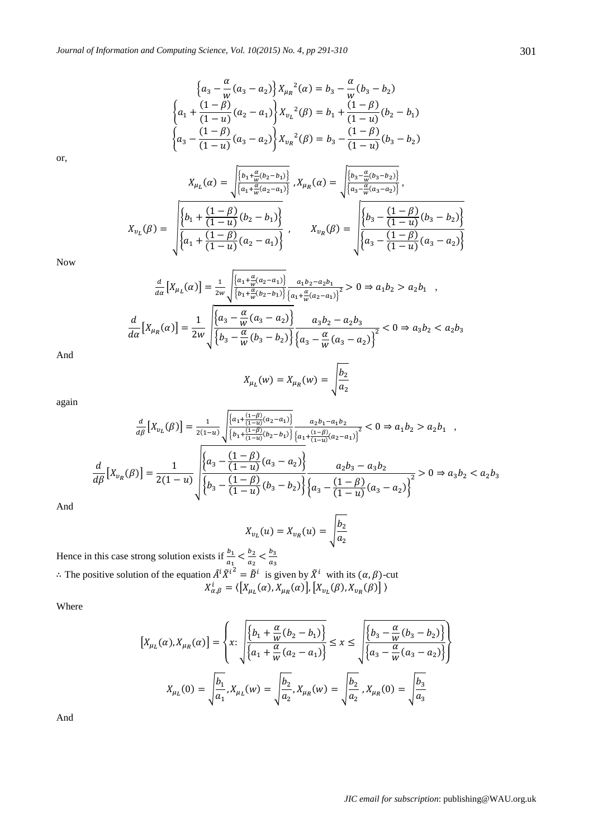$$
\left\{ a_3 - \frac{\alpha}{w} (a_3 - a_2) \right\} X_{\mu_R}^2(\alpha) = b_3 - \frac{\alpha}{w} (b_3 - b_2)
$$
  

$$
\left\{ a_1 + \frac{(1 - \beta)}{(1 - u)} (a_2 - a_1) \right\} X_{\nu_L}^2(\beta) = b_1 + \frac{(1 - \beta)}{(1 - u)} (b_2 - b_1)
$$
  

$$
\left\{ a_3 - \frac{(1 - \beta)}{(1 - u)} (a_3 - a_2) \right\} X_{\nu_R}^2(\beta) = b_3 - \frac{(1 - \beta)}{(1 - u)} (b_3 - b_2)
$$

or,

$$
X_{\mu_L}(\alpha) = \sqrt{\frac{\left\{\begin{matrix} b_1 + \frac{\alpha}{w}(b_2 - b_1) \end{matrix}\right\}}{\left\{\begin{matrix} a_1 + \frac{\alpha}{w}(a_2 - a_1) \end{matrix}\right\}}}, X_{\mu_R}(\alpha) = \sqrt{\frac{\left\{\begin{matrix} b_3 - \frac{\alpha}{w}(b_3 - b_2) \end{matrix}\right\}}{\left\{\begin{matrix} a_3 - \frac{\alpha}{w}(a_3 - a_2) \end{matrix}\right\}}},
$$

$$
X_{\nu_L}(\beta) = \sqrt{\frac{\left\{\begin{matrix} b_1 + \frac{(1 - \beta)}{(1 - u)}(b_2 - b_1) \end{matrix}\right\}}{\left\{\begin{matrix} a_1 + \frac{(1 - \beta)}{(1 - u)}(a_2 - a_1) \end{matrix}\right\}}}, \qquad X_{\nu_R}(\beta) = \sqrt{\frac{\left\{\begin{matrix} b_3 - \frac{(1 - \beta)}{(1 - u)}(b_3 - b_2) \end{matrix}\right\}}{\left\{\begin{matrix} a_3 - \frac{(1 - \beta)}{(1 - u)}(a_3 - a_2) \end{matrix}\right\}}}
$$

Now

$$
\frac{d}{d\alpha}[X_{\mu_L}(\alpha)] = \frac{1}{2w} \sqrt{\frac{\left\{\frac{a_1 + \frac{\alpha}{w}(a_2 - a_1)\right\}}{\left\{b_1 + \frac{\alpha}{w}(b_2 - b_1)\right\}} \frac{a_1 b_2 - a_2 b_1}{\left\{a_1 + \frac{\alpha}{w}(a_2 - a_1)\right\}^2}} > 0 \Rightarrow a_1 b_2 > a_2 b_1,
$$
\n
$$
\frac{d}{d\alpha}[X_{\mu_R}(\alpha)] = \frac{1}{2w} \sqrt{\frac{\left\{\frac{a_3 - \frac{\alpha}{w}(a_3 - a_2)\right\}}{\left\{b_3 - \frac{\alpha}{w}(b_3 - b_2)\right\}} \frac{a_3 b_2 - a_2 b_3}{\left\{a_3 - \frac{\alpha}{w}(a_3 - a_2)\right\}^2}} < 0 \Rightarrow a_3 b_2 < a_2 b_3
$$

And

$$
X_{\mu_L}(w) = X_{\mu_R}(w) = \sqrt{\frac{b_2}{a_2}}
$$

again

$$
\frac{d}{d\beta}\left[X_{v_L}(\beta)\right] = \frac{1}{2(1-u)} \sqrt{\frac{\left\{a_1 + \frac{(1-\beta)}{(1-u)}(a_2 - a_1)\right\}}{\left\{b_1 + \frac{(1-\beta)}{(1-u)}(b_2 - b_1)\right\}} \frac{a_2b_1 - a_1b_2}{\left\{a_1 + \frac{(1-\beta)}{(1-u)}(a_2 - a_1)\right\}}}} < 0 \Rightarrow a_1b_2 > a_2b_1 ,
$$
\n
$$
\frac{d}{d\beta}\left[X_{v_R}(\beta)\right] = \frac{1}{2(1-u)} \sqrt{\frac{\left\{a_3 - \frac{(1-\beta)}{(1-u)}(a_3 - a_2)\right\}}{\left\{b_3 - \frac{(1-\beta)}{(1-u)}(b_3 - b_2)\right\}} \frac{a_2b_3 - a_3b_2}{\left\{a_3 - \frac{(1-\beta)}{(1-u)}(a_3 - a_2)\right\}}}} > 0 \Rightarrow a_3b_2 < a_2b_3
$$

And

$$
X_{v_L}(u) = X_{v_R}(u) = \sqrt{\frac{b_2}{a_2}}
$$

Hence in this case strong solution exists if  $\frac{b_1}{a_1} < \frac{b_1}{a_1}$  $\frac{b_2}{a_2} < \frac{b}{a}$  $\boldsymbol{a}$ : The positive solution of the equation  $\tilde{A}^i \tilde{X}^{i^2} = \tilde{B}^i$  is given by  $\tilde{X}^i$  with its  $(\alpha, \beta)$ -cut  $X_{\alpha,\beta}^{i} = \langle [X_{\mu_{i}}(\alpha), X_{\mu_{p}}(\alpha)], [X_{\nu_{i}}(\beta), X_{\nu_{p}}(\beta)] \rangle$ 

Where

$$
\begin{aligned}\n\left[X_{\mu_L}(\alpha), X_{\mu_R}(\alpha)\right] &= \left\{ x \colon \sqrt{\frac{\left\{b_1 + \frac{\alpha}{w}(b_2 - b_1)\right\}}{\left\{a_1 + \frac{\alpha}{w}(a_2 - a_1)\right\}} \right\} \le x \le \sqrt{\frac{\left\{b_3 - \frac{\alpha}{w}(b_3 - b_2)\right\}}{\left\{a_3 - \frac{\alpha}{w}(a_3 - a_2)\right\}}\right\} \\
X_{\mu_L}(0) &= \sqrt{\frac{b_1}{a_1}}, X_{\mu_L}(w) = \sqrt{\frac{b_2}{a_2}}, X_{\mu_R}(w) = \sqrt{\frac{b_2}{a_2}}, X_{\mu_R}(0) = \sqrt{\frac{b_3}{a_3}}\n\end{aligned}
$$

And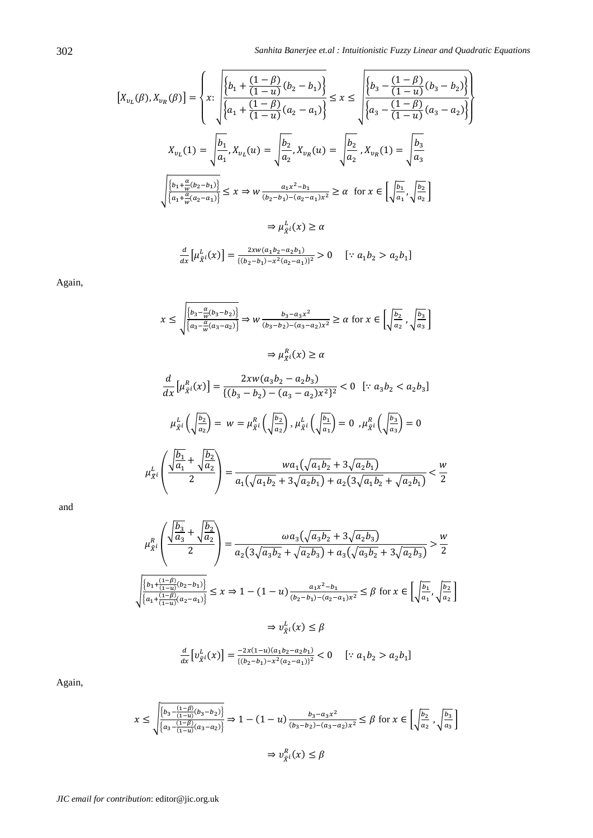}  $\mathbf{I}$  $\cdot$  $\mathbf{I}$  $\mathbf{I}$ 

$$
\begin{aligned}\n\left[X_{v_L}(\beta), X_{v_R}(\beta)\right] &= \left\{ x: \left\{ \frac{\left\{b_1 + \frac{(1-\beta)}{(1-u)}(b_2 - b_1)\right\}}{\left\{a_1 + \frac{(1-\beta)}{(1-u)}(a_2 - a_1)\right\}} \right\} \le x \le \left\{ \frac{\left\{b_3 - \frac{(1-\beta)}{(1-u)}(b_3 - b_2)\right\}}{\left\{a_3 - \frac{(1-\beta)}{(1-u)}(a_3 - a_2)\right\}} \right\} \\
X_{v_L}(1) &= \left\{ \frac{b_1}{a_1}, X_{v_L}(u) = \sqrt{\frac{b_2}{a_2}}, X_{v_R}(u) = \sqrt{\frac{b_2}{a_2}}, X_{v_R}(1) = \sqrt{\frac{b_3}{a_3}} \right\} \\
\frac{\left\{b_1 + \frac{\alpha}{w}(b_2 - b_1)\right\}}{\left\{a_1 + \frac{\alpha}{w}(a_2 - a_1)\right\}} \le x \Rightarrow w \frac{a_1 x^2 - b_1}{(b_2 - b_1) - (a_2 - a_1)x^2} \ge \alpha \quad \text{for } x \in \left[\sqrt{\frac{b_1}{a_1}}, \sqrt{\frac{b_2}{a_2}}\right] \\
&\Rightarrow \mu_{\bar{X}}^L(x) \ge \alpha \\
\frac{d}{dx} \left[\mu_{\bar{X}}^L(x)\right] &= \frac{2xw(a_1 b_2 - a_2 b_1)}{((b_2 - b_1) - x^2(a_2 - a_1))^2} > 0 \quad \left[\because a_1 b_2 > a_2 b_1\right]\n\end{aligned}
$$

Again,

$$
x \le \sqrt{\frac{b_3 - \frac{\alpha}{w}(b_3 - b_2)}{\{a_3 - \frac{\alpha}{w}(a_3 - a_2)\}}} \Rightarrow w \frac{b_3 - a_3 x^2}{(b_3 - b_2) - (a_3 - a_2)x^2} \ge \alpha \text{ for } x \in \left[\sqrt{\frac{b_2}{a_2}}, \sqrt{\frac{b_3}{a_3}}\right]
$$

$$
\Rightarrow \mu_{\tilde{X}}^R(x) \ge \alpha
$$

$$
\frac{d}{dx} \left[\mu_{\tilde{X}}^R(x)\right] = \frac{2xw(a_3b_2 - a_2b_3)}{\{(b_3 - b_2) - (a_3 - a_2)x^2\}^2} < 0 \quad [\because a_3b_2 < a_2b_3]
$$

$$
\mu_{\tilde{X}}^L\left(\sqrt{\frac{b_2}{a_2}}\right) = w = \mu_{\tilde{X}}^R\left(\sqrt{\frac{b_2}{a_2}}\right), \mu_{\tilde{X}}^L\left(\sqrt{\frac{b_1}{a_1}}\right) = 0, \mu_{\tilde{X}}^R\left(\sqrt{\frac{b_3}{a_3}}\right) = 0
$$

$$
\mu_{\tilde{X}}^L\left(\frac{\sqrt{b_1}}{2} + \sqrt{\frac{b_2}{a_2}}\right) = \frac{wa_1(\sqrt{a_1b_2} + 3\sqrt{a_2b_1})}{a_1(\sqrt{a_1b_2} + 3\sqrt{a_2b_1}) + a_2(3\sqrt{a_1b_2} + \sqrt{a_2b_1})} < \frac{w}{2}
$$

 $a_1(\sqrt{a_1b_2+3}\sqrt{a_2b_1})+a_2(3\sqrt{a_1b_2}+\sqrt{a_2b_1})$ 

and

$$
\mu_{\tilde{X}^i}^R \left( \frac{\sqrt{\frac{b_3}{a_3} + \sqrt{\frac{b_2}{a_2}}}}{2} \right) = \frac{\omega a_3 (\sqrt{a_3 b_2} + 3\sqrt{a_2 b_3})}{a_2 (3\sqrt{a_3 b_2} + \sqrt{a_2 b_3}) + a_3 (\sqrt{a_3 b_2} + 3\sqrt{a_2 b_3})} > \frac{w}{2}
$$
  

$$
\sqrt{\frac{\left\{b_1 + \frac{(1-\beta)}{(1-u)}(b_2 - b_1)\right\}}{\left\{a_1 + \frac{(1-\beta)}{(1-u)}(a_2 - a_1)\right\}}} \le x \Rightarrow 1 - (1-u) \frac{a_1 x^2 - b_1}{(b_2 - b_1) - (a_2 - a_1)x^2} \le \beta \text{ for } x \in \left[\sqrt{\frac{b_1}{a_1}}, \sqrt{\frac{b_2}{a_2}}\right]
$$

$$
\Rightarrow v_{\tilde{X}^i}^L(x) \le \beta
$$

$$
\frac{d}{dx} \left[v_{\tilde{X}^i}^L(x)\right] = \frac{-2x(1-u)(a_1 b_2 - a_2 b_1)}{((b_2 - b_1) - x^2 (a_2 - a_1))^2} < 0 \quad [\because a_1 b_2 > a_2 b_1]
$$

Again,

$$
x \le \sqrt{\frac{\left\{b_3 - \frac{(1-\beta)}{(1-u)}(b_3 - b_2)\right\}}{\left\{a_3 - \frac{(1-\beta)}{(1-u)}(a_3 - a_2)\right\}}} \Rightarrow 1 - (1-u) \frac{b_3 - a_3 x^2}{(b_3 - b_2) - (a_3 - a_2)x^2} \le \beta \text{ for } x \in \left[\sqrt{\frac{b_2}{a_2}}, \sqrt{\frac{b_3}{a_3}}\right]
$$

$$
\Rightarrow v_{\tilde{X}}^R(x) \le \beta
$$

 $\bigwedge$ 

 $\overline{\mathbf{c}}$ 

)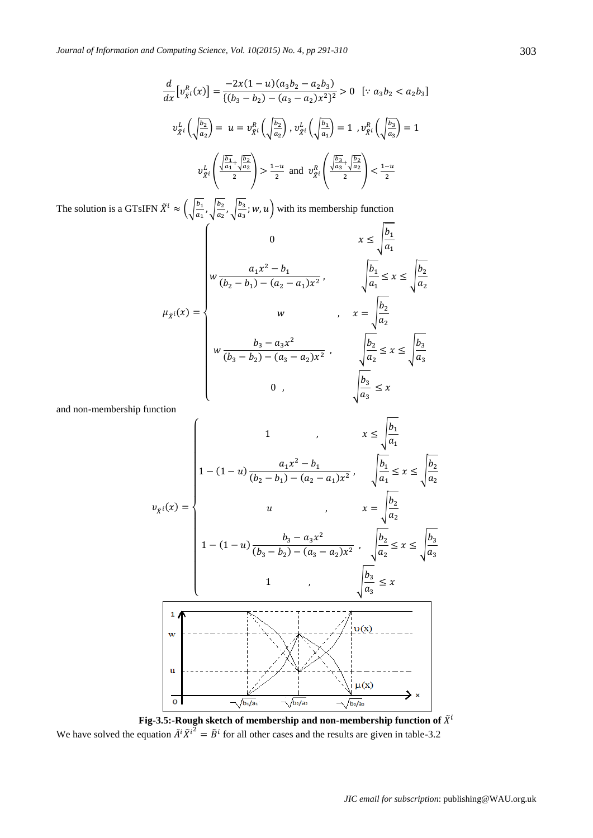$$
\frac{d}{dx} \left[ v_{\tilde{X}^i}^R(x) \right] = \frac{-2x(1-u)(a_3b_2 - a_2b_3)}{\{(b_3 - b_2) - (a_3 - a_2)x^2\}^2} > 0 \quad [\because a_3b_2 < a_2b_3]
$$
\n
$$
v_{\tilde{X}^i}^L\left(\sqrt{\frac{b_2}{a_2}}\right) = u = v_{\tilde{X}^i}^R\left(\sqrt{\frac{b_2}{a_2}}\right), v_{\tilde{X}^i}^L\left(\sqrt{\frac{b_1}{a_1}}\right) = 1, v_{\tilde{X}^i}^R\left(\sqrt{\frac{b_3}{a_3}}\right) = 1
$$
\n
$$
v_{\tilde{X}^i}^L\left(\frac{\sqrt{\frac{b_1}{a_1} + \sqrt{\frac{b_2}{a_2}}}}{2}\right) > \frac{1-u}{2} \text{ and } v_{\tilde{X}^i}^R\left(\frac{\sqrt{\frac{b_3}{a_3} + \sqrt{\frac{b_2}{a_2}}}}{2}\right) < \frac{1-u}{2}
$$

The solution is a GTsIFN  $\tilde{X}^i \approx \left(\frac{b}{a}\right)$  $rac{b_1}{a_1}$ ,  $\sqrt{\frac{b}{a}}$  $rac{b_2}{a_2}$ ,  $\sqrt{\frac{b}{a}}$  $\left(\frac{u_3}{u_3}\right)$ ; w, u) with its membership function

$$
\mu_{\bar{x}^{i}}(x) = \begin{cases}\n0 & x \le \sqrt{\frac{b_{1}}{a_{1}}} \\
w \frac{a_{1}x^{2} - b_{1}}{(b_{2} - b_{1}) - (a_{2} - a_{1})x^{2}}, & \sqrt{\frac{b_{1}}{a_{1}}} \le x \le \sqrt{\frac{b_{2}}{a_{2}}} \\
w & x = \sqrt{\frac{b_{2}}{a_{2}}} \\
w \frac{b_{3} - a_{3}x^{2}}{(b_{3} - b_{2}) - (a_{3} - a_{2})x^{2}}, & \sqrt{\frac{b_{2}}{a_{2}}} \le x \le \sqrt{\frac{b_{3}}{a_{3}}} \\
0 & y & \sqrt{\frac{b_{3}}{a_{3}}} \le x\n\end{cases}
$$

 $\Gamma$ 

and non-membership function

$$
v_{\bar{x}^{i}}(x) = \begin{cases}\n1 & , & x \leq \sqrt{\frac{b_{1}}{a_{1}} \\
1 - (1 - u) \frac{a_{1}x^{2} - b_{1}}{(b_{2} - b_{1}) - (a_{2} - a_{1})x^{2}}, & \sqrt{\frac{b_{1}}{a_{1}}} \leq x \leq \sqrt{\frac{b_{2}}{a_{2}} \\
u & , & x = \sqrt{\frac{b_{2}}{a_{2}} \\
1 - (1 - u) \frac{b_{3} - a_{3}x^{2}}{(b_{3} - b_{2}) - (a_{3} - a_{2})x^{2}}, & \sqrt{\frac{b_{2}}{a_{2}}} \leq x \leq \sqrt{\frac{b_{3}}{a_{3}} \\
1 & , & \sqrt{\frac{b_{3}}{a_{3}}} \leq x \\
u & , & \sqrt{\frac{b_{3}}{a_{3}}} \leq x\n\end{cases}
$$

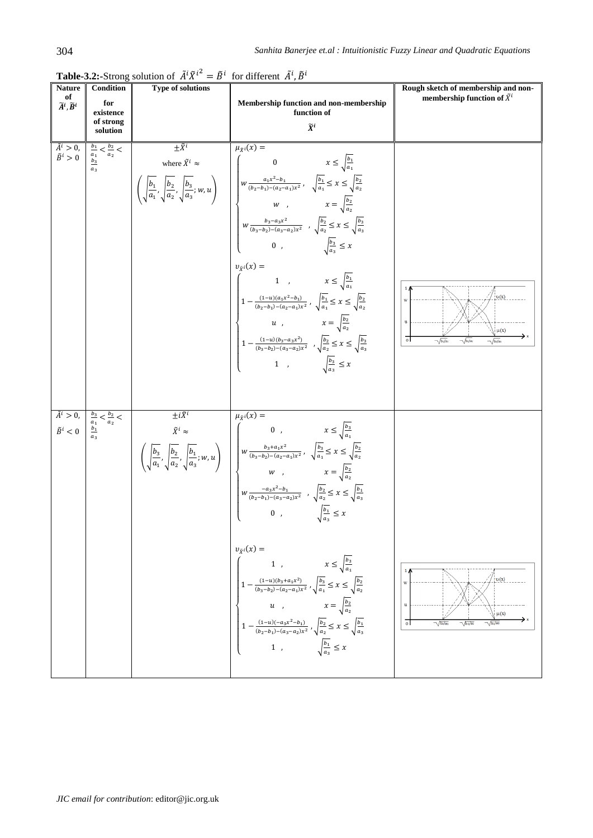|                                                           |                                                                        | <b>Table-3.2:</b> -Strong solution of $A^T A^T = B^T$ for different $A^T$ , B |                                                                                                                                                                                                                                                                                                                                                                                                                                                                                                                                                                                                                                                                                                                                                                                                                                                                                                                                                                                                      |                                                                                                                                  |
|-----------------------------------------------------------|------------------------------------------------------------------------|-------------------------------------------------------------------------------|------------------------------------------------------------------------------------------------------------------------------------------------------------------------------------------------------------------------------------------------------------------------------------------------------------------------------------------------------------------------------------------------------------------------------------------------------------------------------------------------------------------------------------------------------------------------------------------------------------------------------------------------------------------------------------------------------------------------------------------------------------------------------------------------------------------------------------------------------------------------------------------------------------------------------------------------------------------------------------------------------|----------------------------------------------------------------------------------------------------------------------------------|
| <b>Nature</b><br>of<br>$\widetilde{A}^i, \widetilde{B}^i$ | Condition<br>for<br>existence<br>of strong                             | <b>Type of solutions</b>                                                      | Membership function and non-membership<br>function of<br>$\widetilde{X}^i$                                                                                                                                                                                                                                                                                                                                                                                                                                                                                                                                                                                                                                                                                                                                                                                                                                                                                                                           | Rough sketch of membership and non-<br>membership function of $\tilde{X}^i$                                                      |
| $\tilde{A}^i > 0,$<br>$\tilde{B}^i > 0$                   | solution<br>$\frac{b_1}{a_1} < \frac{b_2}{a_2} <$<br>$\frac{b_3}{a_3}$ | $\pm \tilde{X}^i$                                                             | $\mu_{\tilde{X}^i}(\overline{x)}$ =<br>where $\tilde{X}^{i} \approx$<br>$\left(\sqrt{\frac{b_1}{a_1}}, \sqrt{\frac{b_2}{a_2}}, \sqrt{\frac{b_3}{a_3}}; w, u\right)$<br>$w \frac{a_1 x^2 - b_1}{(b_2 - b_1) - (a_2 - a_1)x^2}, \quad \sqrt{\frac{b_1}{a_1}} \le x \le \sqrt{\frac{b_2}{a_2}}$<br>$w, \qquad x = \sqrt{\frac{b_2}{a_2}}$<br>$w \frac{b_3 - a_3 x^2}{(b_3 - b_2) - (a_3 - a_2)x^2}, \quad \sqrt{\frac{b_2}{a$<br>0, $\sqrt{\frac{b_3}{a_3}} \leq x$<br>$v_{\tilde{X}^i}(x) =$<br>$\left( \begin{matrix} 1 &,& x \leq \sqrt{\frac{b_1}{a_1}} \\ &&& \\ 1-\frac{(1-u)(a_1x^2-b_1)}{(b_2-b_1)-(a_2-a_1)x^2} & , & \sqrt{a_1} \leq x \leq \sqrt{\frac{b_2}{a_2}} \end{matrix} \right)$<br>a $u$ , $x = \sqrt{\frac{b_2}{a_2}}$<br>$1 - \frac{(1-u)(b_3 - a_3 x^2)}{(b_3 - b_2) - (a_3 - a_2)x^2} , \sqrt{\frac{b_2}{a_2}} \leq x \leq \sqrt{\frac{b_3}{a_3}}$<br>1, $\sqrt{\frac{b_3}{a_3}} \leq x$                                                                                         | $\,$ 1<br>v(x)<br>W<br>$\mathbf u$<br>$\mu(x)$<br>$\overline{\circ}$<br>$\sqrt{b_1/a_1}$<br>$\sqrt{b_2/a_2}$<br>$\sqrt{b_3/a_3}$ |
| $\tilde{A}^i > 0$ ,<br>$\tilde{B}^i<0$                    | $\frac{b_3}{a_1}<\frac{b_2}{a_2}<$<br>$\frac{b_1}{a_3}$                | $\pm i\tilde{X}^i$                                                            | $\mu_{\tilde{X}^i}(x) =$<br>$\left(\sqrt{\frac{b_3}{a_1}}, \sqrt{\frac{b_2}{a_2}}, \sqrt{\frac{b_1}{a_3}}; w, u\right) \begin{array}{c} 0 \\ w \frac{b_3 + a_1 x^2}{(b_3 - b_2) - (a_2 - a_1) x^2}, & \sqrt{\frac{b_3}{a_1}} \leq x \leq \sqrt{\frac{b_2}{a_2}} \\ w \\ w \\ w \\ z \\ z^{-a_3 x^2 - b_1} \\ - \sqrt{\frac{b_2}{a_2}} \leq x \leq \sqrt{\frac{b_2}{a_2}} \end{array} \right)$<br>$\left  \ w{\frac{-a_3x^2-b_1}{(b_2-b_1)-(a_3-a_2)x^2}} \right. \ , \ \sqrt{\frac{b_2}{a_2}} \leq x \leq \sqrt{\frac{b_1}{a_3}}$<br>0, $\sqrt{\frac{b_1}{a_3}} \leq x$<br>$v_{\tilde{X}^i}(x) =$<br>1, $x \le \sqrt{\frac{b_3}{a_1}}$<br>$1 - \frac{(1-u)(b_3 + a_1 x^2)}{(b_3 - b_2) - (a_2 - a_1)x^2}$ , $\sqrt{\frac{b_3}{a_1}} \leq x \leq \sqrt{\frac{b_2}{a_2}}$<br><i>u</i> , $x = \sqrt{\frac{b_2}{a_2}}$<br>$\left  \; 1 - \frac{(1-u)(-a_3x^2-b_1)}{(b_2-b_1)-(a_3-a_2)x^2} \; , \sqrt{\frac{b_2}{a_2}} \leq x \leq \sqrt{\frac{b_1}{a_3}} \right $<br>1, $\sqrt{\frac{b_1}{a_3}} \leq x$ | $\upsilon(x)$<br>$\mathbf{n}$<br>$\mu(x)$<br>$\overline{0}$<br>$\sqrt{b^3/a}$<br>$\sqrt{b^2/a^2}$                                |

**Table-3.2:**-Strong solution of  $\tilde{A}^i \tilde{X}^{i^2} = \tilde{B}^i$  for different  $\tilde{A}^i, \tilde{B}^i$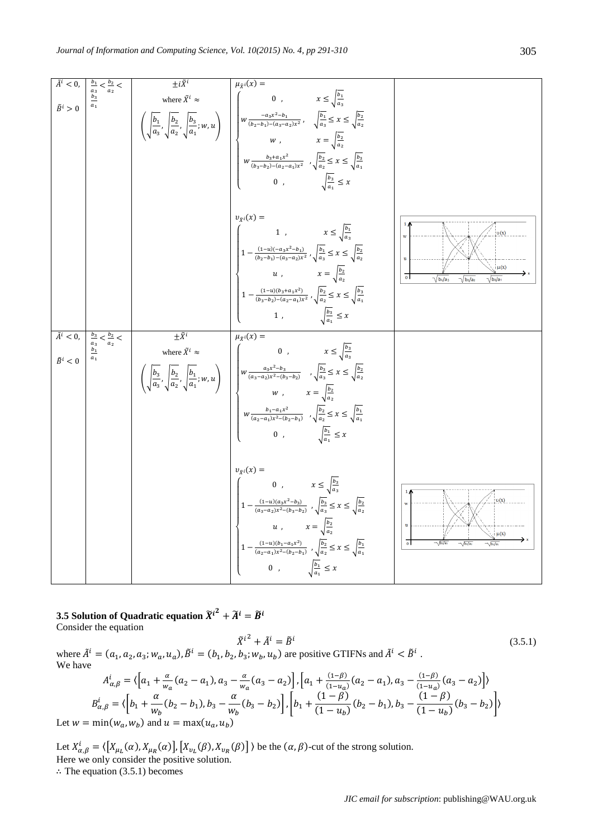| $\tilde{A}^i < 0$ ,<br>$\tilde{B}^i>0$ | $\frac{b_1}{a_3} < \frac{b_2}{a_2} < \frac{b_3}{a_1}$      | $\pm i\tilde{X}^i$                                 | $\overline{\mu_{\tilde{X}^i}(x)}$ =<br>where $\tilde{X}^{i} \approx$<br>$\left(\sqrt{\frac{b_1}{a_3}}, \sqrt{\frac{b_2}{a_2}}, \sqrt{\frac{b_3}{a_1}}; w, u\right)$<br>$w \frac{-a_3 x^2 - b_1}{(b_2 - b_1) - (a_3 - a_2)x^2}, \quad \sqrt{\frac{b_1}{a_3}} \le x \le \sqrt{\frac{b_2}{a_2}}$<br>$w, \qquad x = \sqrt{\frac{b_2}{a_2}}$<br>$w \frac{b_3 + a_1 x^2}{(b_3 - b_2) - (a_2 - a_1)x^2}, \quad \sqrt{\frac{b_2}{a$<br>0, $\sqrt{\frac{b_3}{a_1}} \leq x$                                  |                                                                                                                             |
|----------------------------------------|------------------------------------------------------------|----------------------------------------------------|----------------------------------------------------------------------------------------------------------------------------------------------------------------------------------------------------------------------------------------------------------------------------------------------------------------------------------------------------------------------------------------------------------------------------------------------------------------------------------------------------|-----------------------------------------------------------------------------------------------------------------------------|
|                                        |                                                            |                                                    | $v_{\tilde{X}^i}(x) =$<br>1, $x \le \sqrt{\frac{b_1}{a_3}}$<br>$\left 1-\frac{(1-u)(-a_3x^2-b_1)}{(b_2-b_1)-(a_3-a_2)x^2}\right ,\sqrt{\frac{b_1}{a_3}}\leq x\leq \sqrt{\frac{b_2}{a_2}}\right $<br>a $u$ , $x = \sqrt{\frac{b_2}{a_2}}$<br>$\left  \; 1 - \frac{(1-u)(b_3 + a_1 x^2)}{(b_3 - b_2) - (a_2 - a_1) x^2} \; , \sqrt{\frac{b_2}{a_2}} \leq x \leq \sqrt{\frac{b_3}{a_1}} \right $<br>1, $\sqrt{\frac{b_3}{a_1}} \leq x$                                                                | $\upsilon(x)$<br>w<br>$\mathbf u$<br>$\mu(x)$<br>$\overline{0}$<br>$\sqrt{b_1/a_3}$<br>$\sqrt{b_3/a_1}$<br>$\sqrt{b_2/a_2}$ |
| $\tilde{A}^i < 0$ ,<br>$\tilde{B}^i<0$ | $\frac{b_3}{a_3} < \frac{b_2}{a_2} <$<br>$\frac{b_1}{a_1}$ | $\pm \tilde{X}^i$<br>where $\tilde{X}^i$ $\approx$ | $\mu_{\tilde{X}}(x) =$<br>0, $x \le \sqrt{\frac{b_3}{a_2}}$<br>$\left(\sqrt{\frac{b_3}{a_3}}, \sqrt{\frac{b_2}{a_2}}, \sqrt{\frac{b_1}{a_1}}; w, u\right) \quad \left  \quad \begin{array}{l} w\frac{a_3x^2-b_3}{(a_3-a_2)x^2-b_3-b_2)} & , \sqrt{\frac{b_3}{a_3}} \leq x \leq \sqrt{\frac{b_2}{a_2}} \\[10pt] w & , & x = \sqrt{\frac{b_2}{a_2}} \\[10pt] w\frac{b_1-a_1x^2}{(a_2-a_1)x^2-(b_2-b_1)} & , \sqrt{\frac{b_2}{a_2}} \leq x \leq \sqrt{\frac{b_$<br>0, $\sqrt{\frac{b_1}{a_1}} \leq x$ |                                                                                                                             |
|                                        |                                                            |                                                    | $v_{\tilde{X}^i}(x) =$<br>0, $x \le \sqrt{\frac{b_3}{a_3}}$<br>$\left\{\begin{aligned} 1-\frac{(1-u)(a_3x^2-b_3)}{(a_3-a_2)x^2-(b_3-b_2)}\ ,\sqrt{\frac{b_3}{a_3}} &\leq x \leq \sqrt{\frac{b_2}{a_2}} \\ u\ ,\qquad \qquad x=\sqrt{\frac{b_2}{a_2}} \end{aligned}\right.$<br>$1 - \frac{(1-u)(b_1 - a_1x^2)}{(a_2 - a_1)x^2 - (b_2 - b_1)}$ , $\sqrt{\frac{b_2}{a_2}} \leq x \leq \sqrt{\frac{b_1}{a_1}}$<br>0, $\sqrt{\frac{b_1}{a_1}} \leq x$                                                   | v(x)<br>$\mu(x)$<br>ᇬ<br>$\sqrt{b_3/a_1}$<br>$\sqrt{b_2/a}$                                                                 |

**3.5** Solution of Quadratic equation  $\widetilde{X}^{i^2} + \widetilde{A}^i = \widetilde{B}^i$ Consider the equation

where 
$$
\tilde{A}^i = (a_1, a_2, a_3; w_a, u_a), \tilde{B}^i = (b_1, b_2, b_3; w_b, u_b)
$$
 are positive GTIFNs and  $\tilde{A}^i < \tilde{B}^i$ .  
We have

$$
A_{\alpha,\beta}^{i} = \langle \left[a_{1} + \frac{\alpha}{w_{\alpha}}(a_{2} - a_{1}), a_{3} - \frac{\alpha}{w_{\alpha}}(a_{3} - a_{2})\right], \left[a_{1} + \frac{(1-\beta)}{(1-u_{\alpha})}(a_{2} - a_{1}), a_{3} - \frac{(1-\beta)}{(1-u_{\alpha})}(a_{3} - a_{2})\right] \rangle
$$
  
\n
$$
B_{\alpha,\beta}^{i} = \langle \left[b_{1} + \frac{\alpha}{w_{b}}(b_{2} - b_{1}), b_{3} - \frac{\alpha}{w_{b}}(b_{3} - b_{2})\right], \left[b_{1} + \frac{(1-\beta)}{(1-u_{b})}(b_{2} - b_{1}), b_{3} - \frac{(1-\beta)}{(1-u_{b})}(b_{3} - b_{2})\right] \rangle
$$

Let  $w = min(w_a, w_b)$  and  $u = max(u_a, u_b)$ 

We have

Let  $X_{\alpha,\beta}^i = \langle [X_{\mu_i}(\alpha), X_{\mu_i}(\alpha)], [X_{\nu_i}(\beta), X_{\nu_i}(\beta)] \rangle$  be the  $(\alpha, \beta)$ -cut of the strong solution. Here we only consider the positive solution.  $\therefore$  The equation (3.5.1) becomes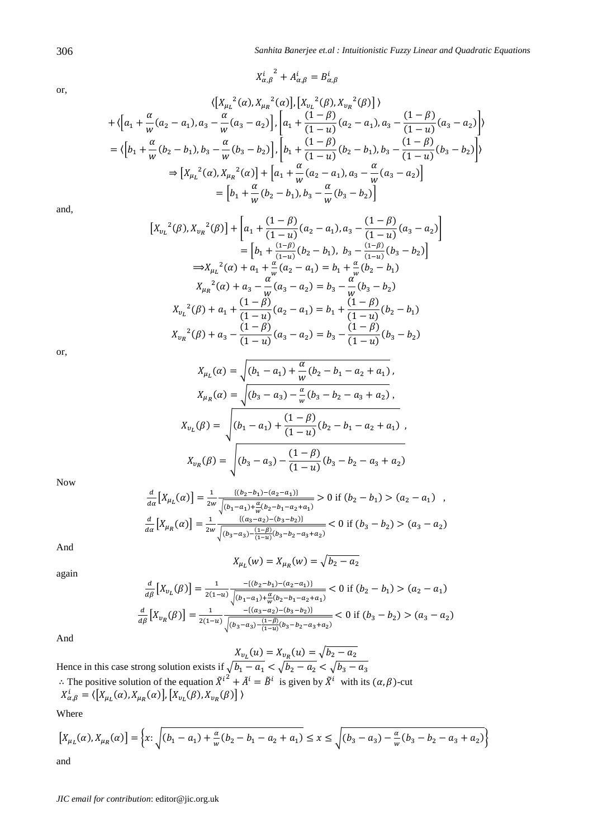or,

$$
X_{\alpha,\beta}^i^2 + A_{\alpha,\beta}^i = B_{\alpha,\beta}^i
$$

 $\overline{a}$ 

$$
\langle \left[ X_{\mu_L}^2(\alpha), X_{\mu_R}^2(\alpha) \right], \left[ X_{\nu_L}^2(\beta), X_{\nu_R}^2(\beta) \right] \rangle
$$
  
+  $\langle \left[ a_1 + \frac{\alpha}{w} (a_2 - a_1), a_3 - \frac{\alpha}{w} (a_3 - a_2) \right], \left[ a_1 + \frac{(1 - \beta)}{(1 - u)} (a_2 - a_1), a_3 - \frac{(1 - \beta)}{(1 - u)} (a_3 - a_2) \right] \rangle$   
=  $\langle \left[ b_1 + \frac{\alpha}{w} (b_2 - b_1), b_3 - \frac{\alpha}{w} (b_3 - b_2) \right], \left[ b_1 + \frac{(1 - \beta)}{(1 - u)} (b_2 - b_1), b_3 - \frac{(1 - \beta)}{(1 - u)} (b_3 - b_2) \right] \rangle$   
 $\Rightarrow \left[ X_{\mu_L}^2(\alpha), X_{\mu_R}^2(\alpha) \right] + \left[ a_1 + \frac{\alpha}{w} (a_2 - a_1), a_3 - \frac{\alpha}{w} (a_3 - a_2) \right]$   
=  $\left[ b_1 + \frac{\alpha}{w} (b_2 - b_1), b_3 - \frac{\alpha}{w} (b_3 - b_2) \right]$ 

and,

$$
\begin{split}\n\left[X_{v_L}^{2}(\beta), X_{v_R}^{2}(\beta)\right] + \left[a_1 + \frac{(1-\beta)}{(1-u)}(a_2 - a_1), a_3 - \frac{(1-\beta)}{(1-u)}(a_3 - a_2)\right] \\
&= \left[b_1 + \frac{(1-\beta)}{(1-u)}(b_2 - b_1), b_3 - \frac{(1-\beta)}{(1-u)}(b_3 - b_2)\right] \\
\Rightarrow X_{\mu_L}^{2}(\alpha) + a_1 + \frac{\alpha}{\mu}(a_2 - a_1) = b_1 + \frac{\alpha}{\mu}(b_2 - b_1) \\
X_{\mu_R}^{2}(\alpha) + a_3 - \frac{\alpha}{\mu}(a_3 - a_2) = b_3 - \frac{\alpha}{\mu}(b_3 - b_2) \\
X_{v_L}^{2}(\beta) + a_1 + \frac{(1-\beta)}{(1-u)}(a_2 - a_1) = b_1 + \frac{(1-\beta)}{(1-u)}(b_2 - b_1) \\
X_{v_R}^{2}(\beta) + a_3 - \frac{(1-\beta)}{(1-u)}(a_3 - a_2) = b_3 - \frac{(1-\beta)}{(1-u)}(b_3 - b_2)\n\end{split}
$$

or,

$$
X_{\mu_L}(\alpha) = \sqrt{(b_1 - a_1) + \frac{\alpha}{w}(b_2 - b_1 - a_2 + a_1)},
$$
  
\n
$$
X_{\mu_R}(\alpha) = \sqrt{(b_3 - a_3) - \frac{\alpha}{w}(b_3 - b_2 - a_3 + a_2)},
$$
  
\n
$$
X_{\nu_L}(\beta) = \sqrt{(b_1 - a_1) + \frac{(1 - \beta)}{(1 - u)}(b_2 - b_1 - a_2 + a_1)},
$$
  
\n
$$
X_{\nu_R}(\beta) = \sqrt{(b_3 - a_3) - \frac{(1 - \beta)}{(1 - u)}(b_3 - b_2 - a_3 + a_2)}
$$

Now

$$
\frac{d}{da}\left[X_{\mu_L}(\alpha)\right] = \frac{1}{2w} \frac{\{(b_2 - b_1) - (a_2 - a_1)\}}{\sqrt{(b_1 - a_1) + \frac{\alpha}{w}(b_2 - b_1 - a_2 + a_1)}} > 0 \text{ if } (b_2 - b_1) > (a_2 - a_1) ,
$$
\n
$$
\frac{d}{da}\left[X_{\mu_R}(\alpha)\right] = \frac{1}{2w} \frac{\{(a_3 - a_2) - (b_3 - b_2)\}}{\sqrt{(b_3 - a_3) - \frac{(1 - \beta)}{(1 - u)}(b_3 - b_2 - a_3 + a_2)}} < 0 \text{ if } (b_3 - b_2) > (a_3 - a_2)
$$

And

$$
X_{\mu_L}(w) = X_{\mu_R}(w) = \sqrt{b_2 - a_2}
$$

again

$$
\frac{d}{d\beta}\left[X_{v_L}(\beta)\right] = \frac{1}{2(1-u)} \frac{-\{(b_2 - b_1) - (a_2 - a_1)\}}{\sqrt{(b_1 - a_1) + \frac{\alpha}{w}(b_2 - b_1 - a_2 + a_1)}} < 0 \text{ if } (b_2 - b_1) > (a_2 - a_1)
$$

$$
\frac{d}{d\beta}\left[X_{v_R}(\beta)\right] = \frac{1}{2(1-u)} \frac{-\{(a_3 - a_2) - (b_3 - b_2)\}}{\sqrt{(b_3 - a_3) - \frac{(1-\beta)}{(1-u)}(b_3 - b_2 - a_3 + a_2)}} < 0 \text{ if } (b_3 - b_2) > (a_3 - a_2)
$$

And

$$
X_{v_L}(u) = X_{v_R}(u) = \sqrt{b_2 - a_2}
$$

Hence in this case strong solution exists if  $\sqrt{b_1 - a_1} < \sqrt{b_2 - a_2} < \sqrt{b_1}$  $\therefore$  The positive solution of the equation  $\tilde{X}^{i^2} + \tilde{A}^i = \tilde{B}^i$  is given by  $\tilde{X}^i$  with its  $(\alpha, \beta)$ -cut  $X_{\alpha, \beta}^{i} = \langle [X_{\mu_{l}}(\alpha), X_{\mu_{R}}(\alpha)], [X_{\nu_{l}}(\beta), X_{\nu_{R}}(\beta)] \rangle$ 

Where

$$
\left[X_{\mu_L}(\alpha), X_{\mu_R}(\alpha)\right] = \left\{x \colon \sqrt{(b_1 - a_1) + \frac{\alpha}{w}(b_2 - b_1 - a_2 + a_1)} \le x \le \sqrt{(b_3 - a_3) - \frac{\alpha}{w}(b_3 - b_2 - a_3 + a_2)}\right\}
$$

and

*JIC email for contribution*: editor@jic.org.uk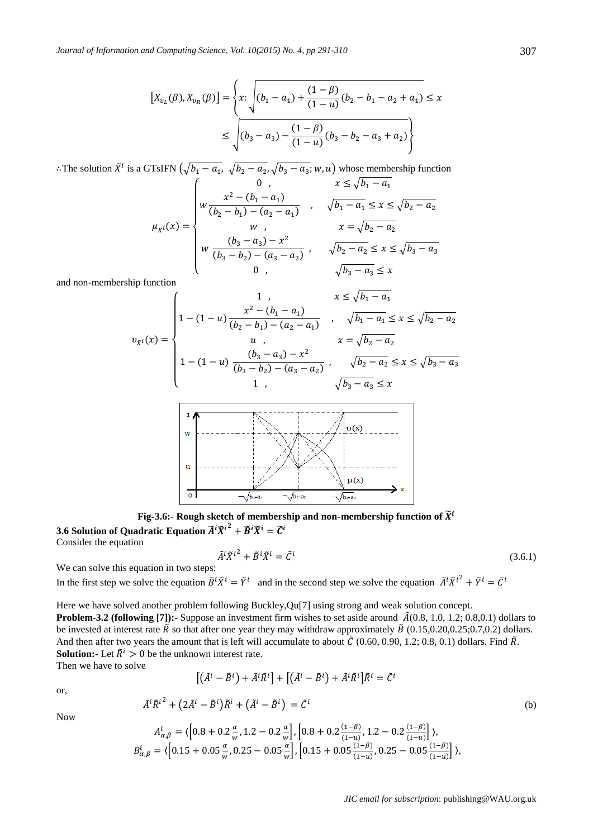$$
\begin{aligned} \left[X_{v_L}(\beta), X_{v_R}(\beta)\right] &= \left\{ x \colon \sqrt{(b_1 - a_1) + \frac{(1 - \beta)}{(1 - u)}(b_2 - b_1 - a_2 + a_1)} \le x \right\} \\ &\le \sqrt{(b_3 - a_3) - \frac{(1 - \beta)}{(1 - u)}(b_3 - b_2 - a_3 + a_2)} \right\} \end{aligned}
$$

: The solution  $\tilde{X}^i$  is a GTsIFN  $(\sqrt{b_1-a_1}, \sqrt{b_2-a_2}, \sqrt{b_3-a_3}; w, u)$  whose membership function

$$
\mu_{\tilde{X}^i}(x) = \begin{cases}\n0, & x \le \sqrt{b_1 - a_1} \\
w \frac{x^2 - (b_1 - a_1)}{(b_2 - b_1) - (a_2 - a_1)} & , & \sqrt{b_1 - a_1} \le x \le \sqrt{b_2 - a_2} \\
w, & x = \sqrt{b_2 - a_2} \\
w \frac{(b_3 - a_3) - x^2}{(b_3 - b_2) - (a_3 - a_2)} & , & \sqrt{b_2 - a_2} \le x \le \sqrt{b_3 - a_3} \\
0, & \sqrt{b_3 - a_3} \le x\n\end{cases}
$$

and non-membership function

̃

$$
y_{\tilde{X}^i}(x) = \begin{cases} 1, & x \le \sqrt{b_1 - a_1} \\ 1 - (1 - u) \frac{x^2 - (b_1 - a_1)}{(b_2 - b_1) - (a_2 - a_1)} & , & \sqrt{b_1 - a_1} \le x \le \sqrt{b_2 - a_2} \\ u, & x = \sqrt{b_2 - a_2} \\ 1 - (1 - u) \frac{(b_3 - a_3) - x^2}{(b_3 - b_2) - (a_3 - a_2)} & , & \sqrt{b_2 - a_2} \le x \le \sqrt{b_3 - a_3} \\ 1, & \sqrt{b_3 - a_3} \le x \end{cases}
$$



**Fig-3.6:-** Rough sketch of membership and non-membership function of  $\widetilde{X}^i$ 3.6 Solution of Quadratic Equation  $\widetilde{A}^i \widetilde{X}^{i^2} + \widetilde{B}^i \widetilde{X}^i = \widetilde{\mathcal{C}}^i$ Consider the equation

$$
\tilde{A}^i \tilde{X}^{i^2} + \tilde{B}^i \tilde{X}^i = \tilde{C}^i \tag{3.6.1}
$$

We can solve this equation in two steps:

 $A^i_{\alpha,\beta} = \langle \left[ 0.8 + 0.2 \frac{\alpha}{\alpha} \right]$ 

 $B^i_{\alpha,\beta}=\langle\big|0$ 

In the first step we solve the equation  $\tilde{B}^i \tilde{X}^i = \tilde{Y}^i$  and in the second step we solve the equation  $\tilde{A}^i \tilde{X}^{i^2} + \tilde{Y}^i = \tilde{C}^i$ 

Here we have solved another problem following Buckley,Qu[7] using strong and weak solution concept.

**Problem-3.2 (following [7]):-** Suppose an investment firm wishes to set aside around  $\tilde{A}(0.8, 1.0, 1.2; 0.8, 0.1)$  dollars to be invested at interest rate  $\tilde{R}$  so that after one year they may withdraw approximately  $\tilde{B}$  (0.15,0.20,0.25;0.7,0.2) dollars. And then after two years the amount that is left will accumulate to about  $\tilde{C}$  (0.60, 0.90, 1.2; 0.8, 0.1) dollars. Find  $\tilde{R}$ . **Solution:**- Let  $\tilde{R}^i > 0$  be the unknown interest rate.

Then we have to solve

$$
\left[ \left( \tilde{A}^i - \tilde{B}^i \right) + \tilde{A}^i \tilde{R}^i \right] + \left[ \left( \tilde{A}^i - \tilde{B}^i \right) + \tilde{A}^i \tilde{R}^i \right] \tilde{R}^i = \tilde{C}^i
$$

or,

$$
\tilde{A}^i \tilde{R}^{i^2} + (2\tilde{A}^i - \tilde{B}^i) \tilde{R}^i + (\tilde{A}^i - \tilde{B}^i) = \tilde{C}^i
$$
 (b)

Now

$$
\langle \left[0.8 + 0.2\frac{\alpha}{w}, 1.2 - 0.2\frac{\alpha}{w} \right], \left[0.8 + 0.2\frac{(1-\beta)}{(1-u)}, 1.2 - 0.2\frac{(1-\beta)}{(1-u)} \right] \rangle,
$$
  
5 + 0.05 $\frac{\alpha}{w}$ , 0.25 - 0.05 $\frac{\alpha}{w}$ ],  $\left[0.15 + 0.05\frac{(1-\beta)}{(1-u)}, 0.25 - 0.05\frac{(1-\beta)}{(1-u)} \right] \rangle$ ,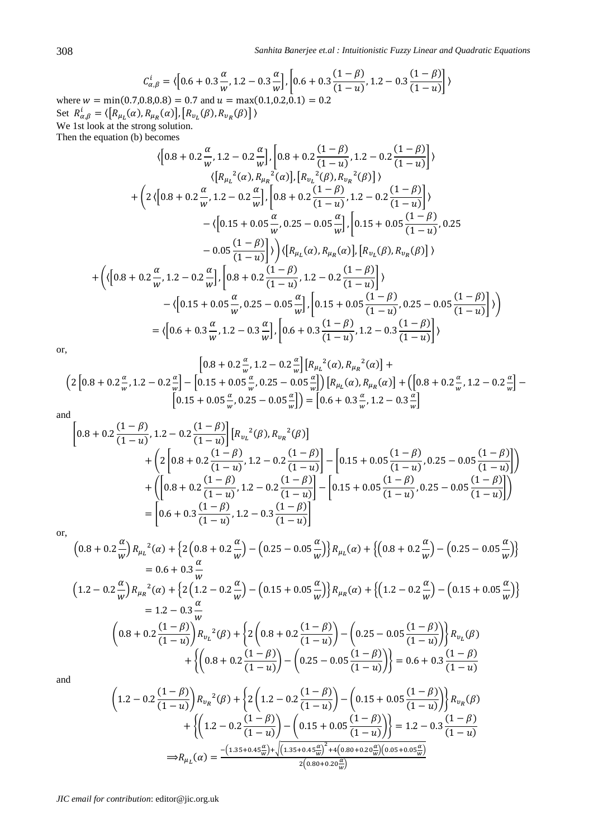$$
C_{\alpha,\beta}^{i} = \langle \left[ 0.6 + 0.3 \frac{\alpha}{w}, 1.2 - 0.3 \frac{\alpha}{w} \right], \left[ 0.6 + 0.3 \frac{(1 - \beta)}{(1 - u)}, 1.2 - 0.3 \frac{(1 - \beta)}{(1 - u)} \right] \rangle
$$
  
where  $w = \min(0.7, 0.8, 0.8) = 0.7$  and  $u = \max(0.1, 0.2, 0.1) = 0.2$ 

Set  $R_{\alpha,\beta}^i = \langle [R_{\mu_L}(\alpha), R_{\mu_R}(\alpha)], [R_{\nu_L}(\beta), R_{\nu_R}(\beta)] \rangle$ We 1st look at the strong solution.

Then the equation (b) becomes

$$
\langle \left[0.8 + 0.2\frac{\alpha}{w}, 1.2 - 0.2\frac{\alpha}{w}\right], \left[0.8 + 0.2\frac{(1-\beta)}{(1-u)}, 1.2 - 0.2\frac{(1-\beta)}{(1-u)}\right] \rangle
$$
  

$$
\langle \left[R_{\mu_{L}}^{2}(\alpha), R_{\mu_{R}}^{2}(\alpha)\right], \left[R_{\nu_{L}}^{2}(\beta), R_{\nu_{R}}^{2}(\beta)\right] \rangle
$$
  
+
$$
\Big(2\langle \left[0.8 + 0.2\frac{\alpha}{w}, 1.2 - 0.2\frac{\alpha}{w}\right], \left[0.8 + 0.2\frac{(1-\beta)}{(1-u)}, 1.2 - 0.2\frac{(1-\beta)}{(1-u)}\right] \rangle
$$
  
-
$$
\langle \left[0.15 + 0.05\frac{\alpha}{w}, 0.25 - 0.05\frac{\alpha}{w}\right], \left[0.15 + 0.05\frac{(1-\beta)}{(1-u)}, 0.25\right]
$$
  
-
$$
0.05\frac{(1-\beta)}{(1-u)}\right)\Big)\langle \left[R_{\mu_{L}}(\alpha), R_{\mu_{R}}(\alpha)\right], \left[R_{\nu_{L}}(\beta), R_{\nu_{R}}(\beta)\right] \rangle
$$
  
+
$$
\Big(\langle \left[0.8 + 0.2\frac{\alpha}{w}, 1.2 - 0.2\frac{\alpha}{w}\right], \left[0.8 + 0.2\frac{(1-\beta)}{(1-u)}, 1.2 - 0.2\frac{(1-\beta)}{(1-u)}\right] \rangle
$$
  
-
$$
\langle \left[0.15 + 0.05\frac{\alpha}{w}, 0.25 - 0.05\frac{\alpha}{w}\right], \left[0.15 + 0.05\frac{(1-\beta)}{(1-u)}, 0.25 - 0.05\frac{(1-\beta)}{(1-u)}\right] \rangle \Big)
$$
  
=
$$
\langle \left[0.6 + 0.3\frac{\alpha}{w}, 1.2 - 0.3\frac{\alpha}{w}\right], \left[0.6 + 0.3\frac{(1-\beta)}{(1-u)}, 1.2 - 0.3\frac{(1-\beta)}{(1-u)}\right] \rangle
$$

or,

$$
\left[0.8 + 0.2\frac{\alpha}{w}, 1.2 - 0.2\frac{\alpha}{w}\right] \left[R_{\mu_L}^2(\alpha), R_{\mu_R}^2(\alpha)\right] +
$$
  

$$
\left(2\left[0.8 + 0.2\frac{\alpha}{w}, 1.2 - 0.2\frac{\alpha}{w}\right] - \left[0.15 + 0.05\frac{\alpha}{w}, 0.25 - 0.05\frac{\alpha}{w}\right]\right) \left[R_{\mu_L}(\alpha), R_{\mu_R}(\alpha)\right] + \left(\left[0.8 + 0.2\frac{\alpha}{w}, 1.2 - 0.2\frac{\alpha}{w}\right] - \left[0.15 + 0.05\frac{\alpha}{w}, 0.25 - 0.05\frac{\alpha}{w}\right]\right) = \left[0.6 + 0.3\frac{\alpha}{w}, 1.2 - 0.3\frac{\alpha}{w}\right]
$$

and

$$
\begin{split} \left[0.8+0.2\frac{(1-\beta)}{(1-u)},1.2-0.2\frac{(1-\beta)}{(1-u)}\right]\left[R_{v_L}{}^2(\beta),R_{v_R}{}^2(\beta)\right] \\ &+\left(2\left[0.8+0.2\frac{(1-\beta)}{(1-u)},1.2-0.2\frac{(1-\beta)}{(1-u)}\right]-\left[0.15+0.05\frac{(1-\beta)}{(1-u)},0.25-0.05\frac{(1-\beta)}{(1-u)}\right]\right) \\ &+\left(\left[0.8+0.2\frac{(1-\beta)}{(1-u)},1.2-0.2\frac{(1-\beta)}{(1-u)}\right]-\left[0.15+0.05\frac{(1-\beta)}{(1-u)},0.25-0.05\frac{(1-\beta)}{(1-u)}\right]\right) \\ &=\left[0.6+0.3\frac{(1-\beta)}{(1-u)},1.2-0.3\frac{(1-\beta)}{(1-u)}\right] \end{split}
$$

or,

$$
\left(0.8 + 0.2\frac{\alpha}{w}\right)R_{\mu_L}{}^2(\alpha) + \left\{2\left(0.8 + 0.2\frac{\alpha}{w}\right) - \left(0.25 - 0.05\frac{\alpha}{w}\right)\right\}R_{\mu_L}(\alpha) + \left\{\left(0.8 + 0.2\frac{\alpha}{w}\right) - \left(0.25 - 0.05\frac{\alpha}{w}\right)\right\}
$$
  
\n
$$
= 0.6 + 0.3\frac{\alpha}{w}
$$
  
\n
$$
\left(1.2 - 0.2\frac{\alpha}{w}\right)R_{\mu_R}{}^2(\alpha) + \left\{2\left(1.2 - 0.2\frac{\alpha}{w}\right) - \left(0.15 + 0.05\frac{\alpha}{w}\right)\right\}R_{\mu_R}(\alpha) + \left\{\left(1.2 - 0.2\frac{\alpha}{w}\right) - \left(0.15 + 0.05\frac{\alpha}{w}\right)\right\}
$$
  
\n
$$
= 1.2 - 0.3\frac{\alpha}{w}
$$
  
\n
$$
\left(0.8 + 0.2\frac{(1 - \beta)}{(1 - u)}\right)R_{\nu_L}{}^2(\beta) + \left\{2\left(0.8 + 0.2\frac{(1 - \beta)}{(1 - u)}\right) - \left(0.25 - 0.05\frac{(1 - \beta)}{(1 - u)}\right)\right\}R_{\nu_L}(\beta) + \left\{\left(0.8 + 0.2\frac{(1 - \beta)}{(1 - u)}\right) - \left(0.25 - 0.05\frac{(1 - \beta)}{(1 - u)}\right)\right\} = 0.6 + 0.3\frac{(1 - \beta)}{(1 - u)}
$$
  
\nd

and

$$
\left(1.2 - 0.2\frac{(1-\beta)}{(1-u)}\right)R_{v_R}{}^2(\beta) + \left\{2\left(1.2 - 0.2\frac{(1-\beta)}{(1-u)}\right) - \left(0.15 + 0.05\frac{(1-\beta)}{(1-u)}\right)\right\}R_{v_R}(\beta) + \left\{\left(1.2 - 0.2\frac{(1-\beta)}{(1-u)}\right) - \left(0.15 + 0.05\frac{(1-\beta)}{(1-u)}\right)\right\} = 1.2 - 0.3\frac{(1-\beta)}{(1-u)}
$$

$$
\Rightarrow R_{\mu_L}(\alpha) = \frac{-(1.35 + 0.45\frac{\alpha}{w}) + \sqrt{(1.35 + 0.45\frac{\alpha}{w})^2 + 4(0.80 + 0.20\frac{\alpha}{w})(0.05 + 0.05\frac{\alpha}{w})}}{2(0.80 + 0.20\frac{\alpha}{w})}
$$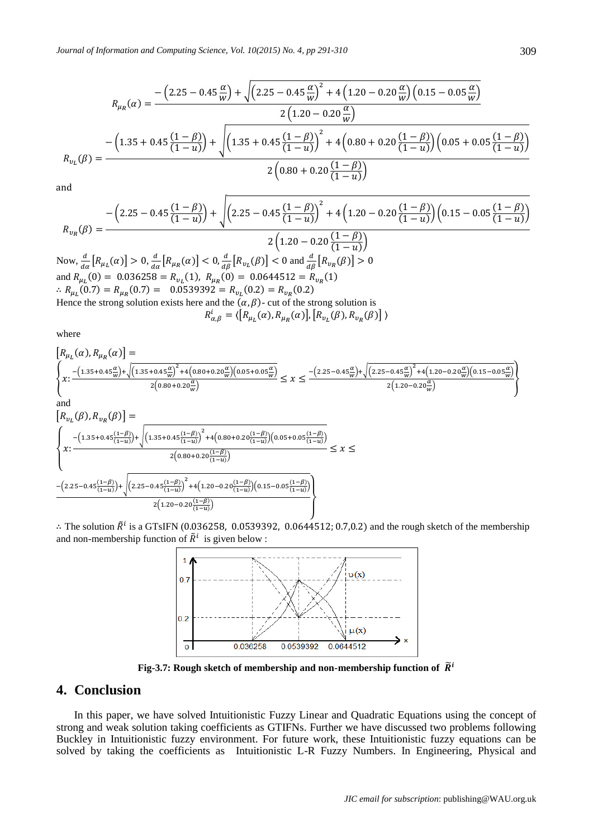$$
R_{\mu_R}(\alpha) = \frac{-\left(2.25 - 0.45\frac{\alpha}{w}\right) + \sqrt{\left(2.25 - 0.45\frac{\alpha}{w}\right)^2 + 4\left(1.20 - 0.20\frac{\alpha}{w}\right)\left(0.15 - 0.05\frac{\alpha}{w}\right)}}{2\left(1.20 - 0.20\frac{\alpha}{w}\right)}
$$

$$
R_{\nu_L}(\beta) = \frac{-\left(1.35 + 0.45\frac{(1 - \beta)}{(1 - u)}\right) + \sqrt{\left(1.35 + 0.45\frac{(1 - \beta)}{(1 - u)}\right)^2 + 4\left(0.80 + 0.20\frac{(1 - \beta)}{(1 - u)}\right)\left(0.05 + 0.05\frac{(1 - \beta)}{(1 - u)}\right)}}
$$

$$
2\left(0.80 + 0.20\frac{(1 - \beta)}{(1 - u)}\right)
$$

and

$$
R_{v_R}(\beta) = \frac{-\left(2.25 - 0.45\frac{(1-\beta)}{(1-u)}\right) + \sqrt{\left(2.25 - 0.45\frac{(1-\beta)}{(1-u)}\right)^2 + 4\left(1.20 - 0.20\frac{(1-\beta)}{(1-u)}\right)\left(0.15 - 0.05\frac{(1-\beta)}{(1-u)}\right)}}{2\left(1.20 - 0.20\frac{(1-\beta)}{(1-u)}\right)}
$$

Now,  $\frac{d}{d\alpha}[R_{\mu_L}(\alpha)] > 0$ ,  $\frac{d}{d\alpha}$  $\frac{d}{d\alpha}\left[R_{\mu_R}(\alpha)\right] < 0, \frac{d}{d\beta}\left[R_{\nu_L}(\beta)\right] < 0$  and  $\frac{d}{d\beta}\left[R_{\nu_R}(\beta)\right] >$ and  $R_{\mu_L}(0) = 0.036258 = R_{\nu_L}(1)$ ,  $R_{\mu_R}(0) = 0.0644512 = R_{\nu_R}(1)$  $R_{\mu_L}(0.7) = R_{\mu_R}(0.7) = 0.0539392 = R_{\nu_L}(0.2) = R_{\nu_R}(0.2)$ Hence the strong solution exists here and the  $(\alpha, \beta)$ - cut of the strong solution is

$$
R_{\alpha,\beta}^{i} = \langle \left[R_{\mu_L}(\alpha), R_{\mu_R}(\alpha)\right], \left[R_{\nu_L}(\beta), R_{\nu_R}(\beta)\right]\rangle
$$

where

$$
\left\{\begin{aligned} &R_{\mu_L}(\alpha),R_{\mu_R}(\alpha)\right\&=\ &\left\{\begin{aligned} &z\cdot\frac{-(1.35+0.45\frac{\alpha}{w})+\sqrt{(1.35+0.45\frac{\alpha}{w})^2+4\left(0.80+0.20\frac{\alpha}{w}\right)\left(0.05+0.05\frac{\alpha}{w}\right)}}{2\left(0.80+0.20\frac{\alpha}{w}\right)}\leq x\leq\frac{-(2.25-0.45\frac{\alpha}{w})+\sqrt{(2.25-0.45\frac{\alpha}{w})^2+4\left(1.20-0.20\frac{\alpha}{w}\right)\left(0.15-0.05\frac{\alpha}{w}\right)}}{2\left(1.20-0.20\frac{\alpha}{w}\right)}\end{aligned}\right\}\\ &\text{and}\\ &R_{\nu_L}(\beta),R_{\nu_R}(\beta)\right\}=\ &\left\{\begin{aligned} &z\cdot\frac{-(1.35+0.45\frac{(1-\beta)}{(1-u)})+\sqrt{(1.35+0.45\frac{(1-\beta)}{(1-u)})^2+4\left(0.80+0.20\frac{(1-\beta)}{(1-u)}\right)\left(0.05+0.05\frac{(1-\beta)}{(1-u)}\right)}}{2\left(0.80+0.20\frac{(1-\beta)}{(1-u)}\right)}\leq x\leq\\ &\frac{-(2.25-0.45\frac{(1-\beta)}{(1-u)})+\sqrt{(2.25-0.45\frac{(1-\beta)}{(1-u)})^2+4\left(1.20-0.20\frac{(1-\beta)}{(1-u)}\right)\left(0.15-0.05\frac{(1-\beta)}{(1-u)}\right)}}{2\left(1.20-0.20\frac{(1-\beta)}{(1-u)}\right)}\end{aligned}\end{aligned}\right\}
$$

: The solution  $\tilde{R}^i$  is a GTsIFN (0.036258, 0.0539392, 0.0644512; 0.7,0.2) and the rough sketch of the membership and non-membership function of  $\tilde{R}^i$  is given below :



Fig-3.7: Rough sketch of membership and non-membership function of  $\widetilde{R}^i$ 

## **4. Conclusion**

In this paper, we have solved Intuitionistic Fuzzy Linear and Quadratic Equations using the concept of strong and weak solution taking coefficients as GTIFNs. Further we have discussed two problems following Buckley in Intuitionistic fuzzy environment. For future work, these Intuitionistic fuzzy equations can be solved by taking the coefficients as Intuitionistic L-R Fuzzy Numbers. In Engineering, Physical and